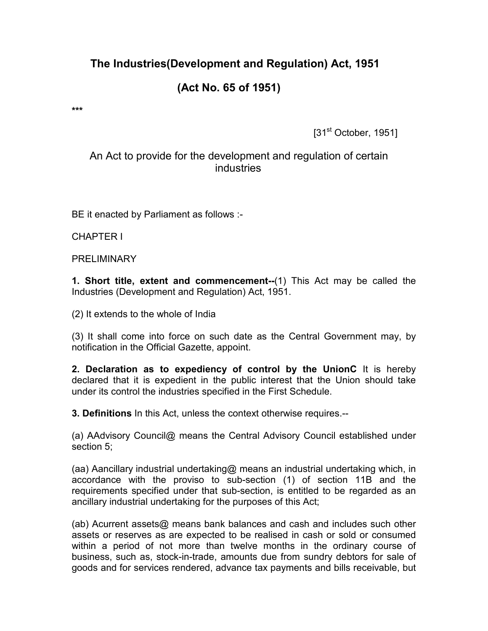# The Industries(Development and Regulation) Act, 1951

# (Act No. 65 of 1951)

\*\*\*

[31<sup>st</sup> October, 1951]

## An Act to provide for the development and regulation of certain industries

BE it enacted by Parliament as follows :-

CHAPTER I

PRELIMINARY

1. Short title, extent and commencement--(1) This Act may be called the Industries (Development and Regulation) Act, 1951.

(2) It extends to the whole of India

(3) It shall come into force on such date as the Central Government may, by notification in the Official Gazette, appoint.

2. Declaration as to expediency of control by the UnionC It is hereby declared that it is expedient in the public interest that the Union should take under its control the industries specified in the First Schedule.

3. Definitions In this Act, unless the context otherwise requires.--

(a) AAdvisory Council@ means the Central Advisory Council established under section 5;

(aa) Aancillary industrial undertaking@ means an industrial undertaking which, in accordance with the proviso to sub-section (1) of section 11B and the requirements specified under that sub-section, is entitled to be regarded as an ancillary industrial undertaking for the purposes of this Act;

(ab) Acurrent assets@ means bank balances and cash and includes such other assets or reserves as are expected to be realised in cash or sold or consumed within a period of not more than twelve months in the ordinary course of business, such as, stock-in-trade, amounts due from sundry debtors for sale of goods and for services rendered, advance tax payments and bills receivable, but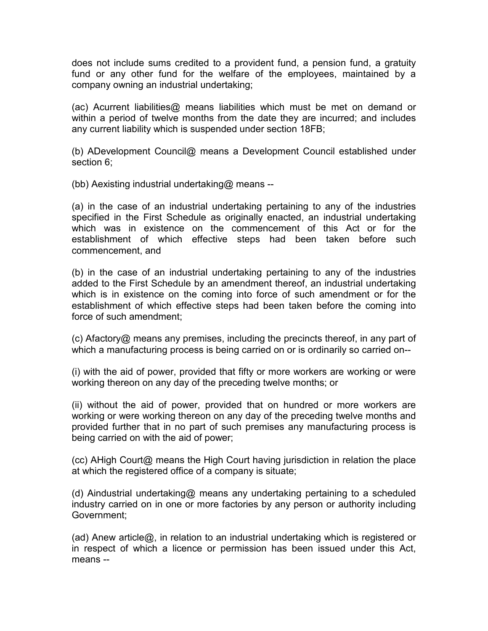does not include sums credited to a provident fund, a pension fund, a gratuity fund or any other fund for the welfare of the employees, maintained by a company owning an industrial undertaking;

(ac) Acurrent liabilities@ means liabilities which must be met on demand or within a period of twelve months from the date they are incurred; and includes any current liability which is suspended under section 18FB;

(b) ADevelopment Council@ means a Development Council established under section 6;

(bb) Aexisting industrial undertaking@ means --

(a) in the case of an industrial undertaking pertaining to any of the industries specified in the First Schedule as originally enacted, an industrial undertaking which was in existence on the commencement of this Act or for the establishment of which effective steps had been taken before such commencement, and

(b) in the case of an industrial undertaking pertaining to any of the industries added to the First Schedule by an amendment thereof, an industrial undertaking which is in existence on the coming into force of such amendment or for the establishment of which effective steps had been taken before the coming into force of such amendment;

(c) Afactory@ means any premises, including the precincts thereof, in any part of which a manufacturing process is being carried on or is ordinarily so carried on--

(i) with the aid of power, provided that fifty or more workers are working or were working thereon on any day of the preceding twelve months; or

(ii) without the aid of power, provided that on hundred or more workers are working or were working thereon on any day of the preceding twelve months and provided further that in no part of such premises any manufacturing process is being carried on with the aid of power;

(cc) AHigh Court@ means the High Court having jurisdiction in relation the place at which the registered office of a company is situate;

(d) Aindustrial undertaking@ means any undertaking pertaining to a scheduled industry carried on in one or more factories by any person or authority including Government;

(ad) Anew article@, in relation to an industrial undertaking which is registered or in respect of which a licence or permission has been issued under this Act, means --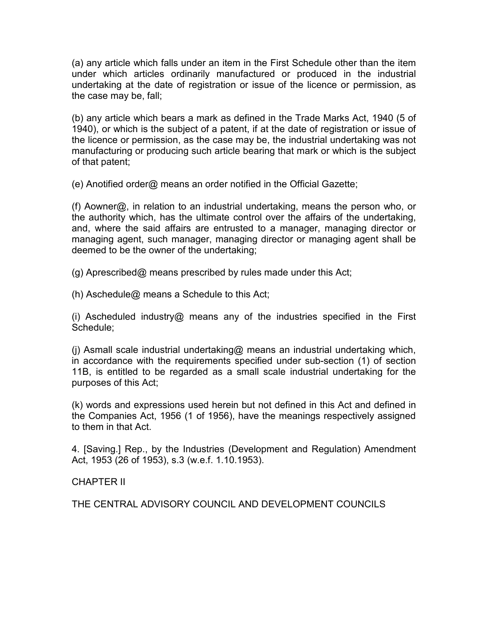(a) any article which falls under an item in the First Schedule other than the item under which articles ordinarily manufactured or produced in the industrial undertaking at the date of registration or issue of the licence or permission, as the case may be, fall;

(b) any article which bears a mark as defined in the Trade Marks Act, 1940 (5 of 1940), or which is the subject of a patent, if at the date of registration or issue of the licence or permission, as the case may be, the industrial undertaking was not manufacturing or producing such article bearing that mark or which is the subject of that patent;

(e) Anotified order@ means an order notified in the Official Gazette;

(f) Aowner@, in relation to an industrial undertaking, means the person who, or the authority which, has the ultimate control over the affairs of the undertaking, and, where the said affairs are entrusted to a manager, managing director or managing agent, such manager, managing director or managing agent shall be deemed to be the owner of the undertaking;

(g) Aprescribed@ means prescribed by rules made under this Act;

(h) Aschedule@ means a Schedule to this Act;

(i) Ascheduled industry@ means any of the industries specified in the First Schedule;

(j) Asmall scale industrial undertaking@ means an industrial undertaking which, in accordance with the requirements specified under sub-section (1) of section 11B, is entitled to be regarded as a small scale industrial undertaking for the purposes of this Act;

(k) words and expressions used herein but not defined in this Act and defined in the Companies Act, 1956 (1 of 1956), have the meanings respectively assigned to them in that Act.

4. [Saving.] Rep., by the Industries (Development and Regulation) Amendment Act, 1953 (26 of 1953), s.3 (w.e.f. 1.10.1953).

CHAPTER II

THE CENTRAL ADVISORY COUNCIL AND DEVELOPMENT COUNCILS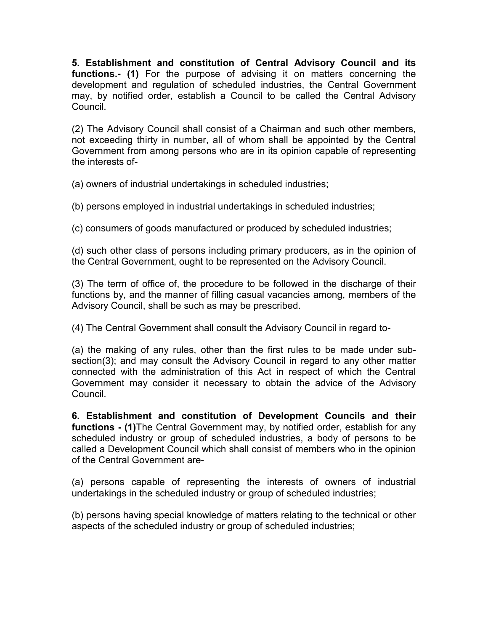5. Establishment and constitution of Central Advisory Council and its functions.- (1) For the purpose of advising it on matters concerning the development and regulation of scheduled industries, the Central Government may, by notified order, establish a Council to be called the Central Advisory Council.

(2) The Advisory Council shall consist of a Chairman and such other members, not exceeding thirty in number, all of whom shall be appointed by the Central Government from among persons who are in its opinion capable of representing the interests of-

(a) owners of industrial undertakings in scheduled industries;

(b) persons employed in industrial undertakings in scheduled industries;

(c) consumers of goods manufactured or produced by scheduled industries;

(d) such other class of persons including primary producers, as in the opinion of the Central Government, ought to be represented on the Advisory Council.

(3) The term of office of, the procedure to be followed in the discharge of their functions by, and the manner of filling casual vacancies among, members of the Advisory Council, shall be such as may be prescribed.

(4) The Central Government shall consult the Advisory Council in regard to-

(a) the making of any rules, other than the first rules to be made under subsection(3); and may consult the Advisory Council in regard to any other matter connected with the administration of this Act in respect of which the Central Government may consider it necessary to obtain the advice of the Advisory Council.

6. Establishment and constitution of Development Councils and their functions - (1) The Central Government may, by notified order, establish for any scheduled industry or group of scheduled industries, a body of persons to be called a Development Council which shall consist of members who in the opinion of the Central Government are-

(a) persons capable of representing the interests of owners of industrial undertakings in the scheduled industry or group of scheduled industries;

(b) persons having special knowledge of matters relating to the technical or other aspects of the scheduled industry or group of scheduled industries;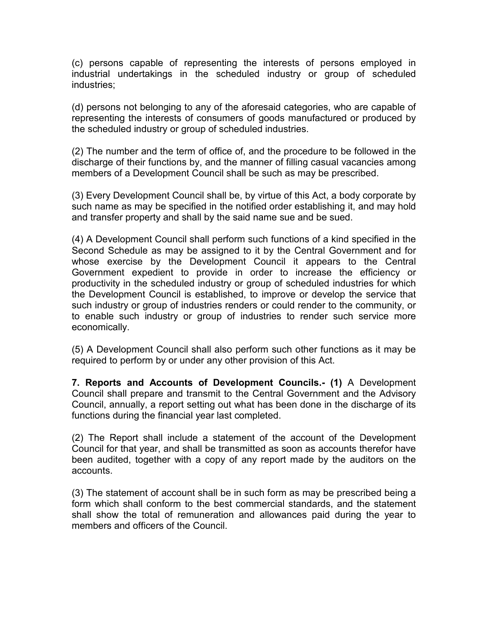(c) persons capable of representing the interests of persons employed in industrial undertakings in the scheduled industry or group of scheduled industries;

(d) persons not belonging to any of the aforesaid categories, who are capable of representing the interests of consumers of goods manufactured or produced by the scheduled industry or group of scheduled industries.

(2) The number and the term of office of, and the procedure to be followed in the discharge of their functions by, and the manner of filling casual vacancies among members of a Development Council shall be such as may be prescribed.

(3) Every Development Council shall be, by virtue of this Act, a body corporate by such name as may be specified in the notified order establishing it, and may hold and transfer property and shall by the said name sue and be sued.

(4) A Development Council shall perform such functions of a kind specified in the Second Schedule as may be assigned to it by the Central Government and for whose exercise by the Development Council it appears to the Central Government expedient to provide in order to increase the efficiency or productivity in the scheduled industry or group of scheduled industries for which the Development Council is established, to improve or develop the service that such industry or group of industries renders or could render to the community, or to enable such industry or group of industries to render such service more economically.

(5) A Development Council shall also perform such other functions as it may be required to perform by or under any other provision of this Act.

7. Reports and Accounts of Development Councils.- (1) A Development Council shall prepare and transmit to the Central Government and the Advisory Council, annually, a report setting out what has been done in the discharge of its functions during the financial year last completed.

(2) The Report shall include a statement of the account of the Development Council for that year, and shall be transmitted as soon as accounts therefor have been audited, together with a copy of any report made by the auditors on the accounts.

(3) The statement of account shall be in such form as may be prescribed being a form which shall conform to the best commercial standards, and the statement shall show the total of remuneration and allowances paid during the year to members and officers of the Council.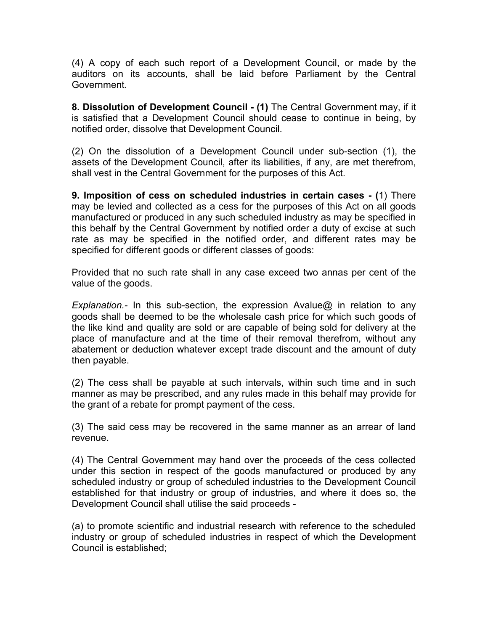(4) A copy of each such report of a Development Council, or made by the auditors on its accounts, shall be laid before Parliament by the Central Government.

8. Dissolution of Development Council - (1) The Central Government may, if it is satisfied that a Development Council should cease to continue in being, by notified order, dissolve that Development Council.

(2) On the dissolution of a Development Council under sub-section (1), the assets of the Development Council, after its liabilities, if any, are met therefrom, shall vest in the Central Government for the purposes of this Act.

9. Imposition of cess on scheduled industries in certain cases - (1) There may be levied and collected as a cess for the purposes of this Act on all goods manufactured or produced in any such scheduled industry as may be specified in this behalf by the Central Government by notified order a duty of excise at such rate as may be specified in the notified order, and different rates may be specified for different goods or different classes of goods:

Provided that no such rate shall in any case exceed two annas per cent of the value of the goods.

Explanation.- In this sub-section, the expression Avalue@ in relation to any goods shall be deemed to be the wholesale cash price for which such goods of the like kind and quality are sold or are capable of being sold for delivery at the place of manufacture and at the time of their removal therefrom, without any abatement or deduction whatever except trade discount and the amount of duty then payable.

(2) The cess shall be payable at such intervals, within such time and in such manner as may be prescribed, and any rules made in this behalf may provide for the grant of a rebate for prompt payment of the cess.

(3) The said cess may be recovered in the same manner as an arrear of land revenue.

(4) The Central Government may hand over the proceeds of the cess collected under this section in respect of the goods manufactured or produced by any scheduled industry or group of scheduled industries to the Development Council established for that industry or group of industries, and where it does so, the Development Council shall utilise the said proceeds -

(a) to promote scientific and industrial research with reference to the scheduled industry or group of scheduled industries in respect of which the Development Council is established;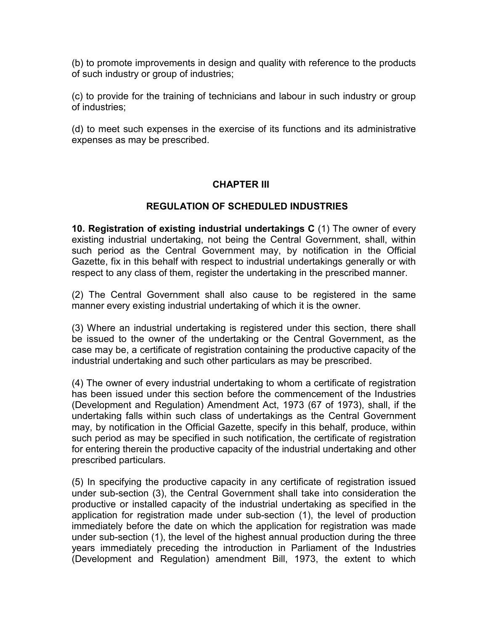(b) to promote improvements in design and quality with reference to the products of such industry or group of industries;

(c) to provide for the training of technicians and labour in such industry or group of industries;

(d) to meet such expenses in the exercise of its functions and its administrative expenses as may be prescribed.

### CHAPTER III

### REGULATION OF SCHEDULED INDUSTRIES

10. Registration of existing industrial undertakings C (1) The owner of every existing industrial undertaking, not being the Central Government, shall, within such period as the Central Government may, by notification in the Official Gazette, fix in this behalf with respect to industrial undertakings generally or with respect to any class of them, register the undertaking in the prescribed manner.

(2) The Central Government shall also cause to be registered in the same manner every existing industrial undertaking of which it is the owner.

(3) Where an industrial undertaking is registered under this section, there shall be issued to the owner of the undertaking or the Central Government, as the case may be, a certificate of registration containing the productive capacity of the industrial undertaking and such other particulars as may be prescribed.

(4) The owner of every industrial undertaking to whom a certificate of registration has been issued under this section before the commencement of the Industries (Development and Regulation) Amendment Act, 1973 (67 of 1973), shall, if the undertaking falls within such class of undertakings as the Central Government may, by notification in the Official Gazette, specify in this behalf, produce, within such period as may be specified in such notification, the certificate of registration for entering therein the productive capacity of the industrial undertaking and other prescribed particulars.

(5) In specifying the productive capacity in any certificate of registration issued under sub-section (3), the Central Government shall take into consideration the productive or installed capacity of the industrial undertaking as specified in the application for registration made under sub-section (1), the level of production immediately before the date on which the application for registration was made under sub-section (1), the level of the highest annual production during the three years immediately preceding the introduction in Parliament of the Industries (Development and Regulation) amendment Bill, 1973, the extent to which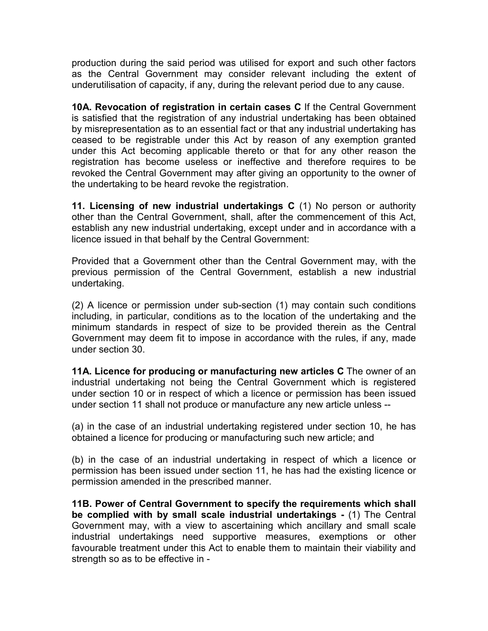production during the said period was utilised for export and such other factors as the Central Government may consider relevant including the extent of underutilisation of capacity, if any, during the relevant period due to any cause.

10A. Revocation of registration in certain cases C If the Central Government is satisfied that the registration of any industrial undertaking has been obtained by misrepresentation as to an essential fact or that any industrial undertaking has ceased to be registrable under this Act by reason of any exemption granted under this Act becoming applicable thereto or that for any other reason the registration has become useless or ineffective and therefore requires to be revoked the Central Government may after giving an opportunity to the owner of the undertaking to be heard revoke the registration.

11. Licensing of new industrial undertakings C (1) No person or authority other than the Central Government, shall, after the commencement of this Act, establish any new industrial undertaking, except under and in accordance with a licence issued in that behalf by the Central Government:

Provided that a Government other than the Central Government may, with the previous permission of the Central Government, establish a new industrial undertaking.

(2) A licence or permission under sub-section (1) may contain such conditions including, in particular, conditions as to the location of the undertaking and the minimum standards in respect of size to be provided therein as the Central Government may deem fit to impose in accordance with the rules, if any, made under section 30.

11A. Licence for producing or manufacturing new articles C The owner of an industrial undertaking not being the Central Government which is registered under section 10 or in respect of which a licence or permission has been issued under section 11 shall not produce or manufacture any new article unless --

(a) in the case of an industrial undertaking registered under section 10, he has obtained a licence for producing or manufacturing such new article; and

(b) in the case of an industrial undertaking in respect of which a licence or permission has been issued under section 11, he has had the existing licence or permission amended in the prescribed manner.

11B. Power of Central Government to specify the requirements which shall be complied with by small scale industrial undertakings - (1) The Central Government may, with a view to ascertaining which ancillary and small scale industrial undertakings need supportive measures, exemptions or other favourable treatment under this Act to enable them to maintain their viability and strength so as to be effective in -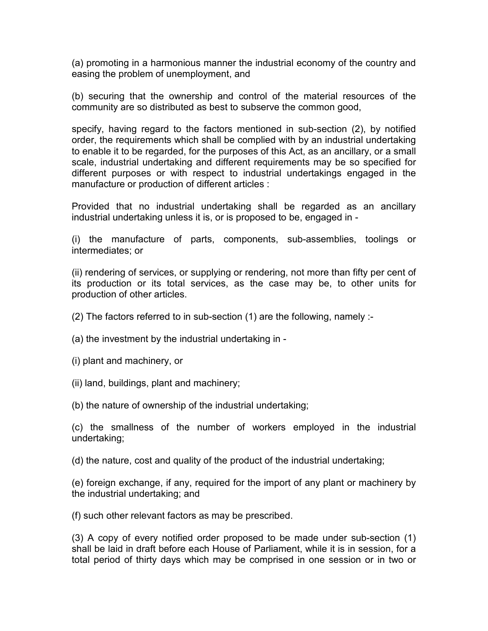(a) promoting in a harmonious manner the industrial economy of the country and easing the problem of unemployment, and

(b) securing that the ownership and control of the material resources of the community are so distributed as best to subserve the common good,

specify, having regard to the factors mentioned in sub-section (2), by notified order, the requirements which shall be complied with by an industrial undertaking to enable it to be regarded, for the purposes of this Act, as an ancillary, or a small scale, industrial undertaking and different requirements may be so specified for different purposes or with respect to industrial undertakings engaged in the manufacture or production of different articles :

Provided that no industrial undertaking shall be regarded as an ancillary industrial undertaking unless it is, or is proposed to be, engaged in -

(i) the manufacture of parts, components, sub-assemblies, toolings or intermediates; or

(ii) rendering of services, or supplying or rendering, not more than fifty per cent of its production or its total services, as the case may be, to other units for production of other articles.

(2) The factors referred to in sub-section (1) are the following, namely :-

(a) the investment by the industrial undertaking in -

(i) plant and machinery, or

(ii) land, buildings, plant and machinery;

(b) the nature of ownership of the industrial undertaking;

(c) the smallness of the number of workers employed in the industrial undertaking;

(d) the nature, cost and quality of the product of the industrial undertaking;

(e) foreign exchange, if any, required for the import of any plant or machinery by the industrial undertaking; and

(f) such other relevant factors as may be prescribed.

(3) A copy of every notified order proposed to be made under sub-section (1) shall be laid in draft before each House of Parliament, while it is in session, for a total period of thirty days which may be comprised in one session or in two or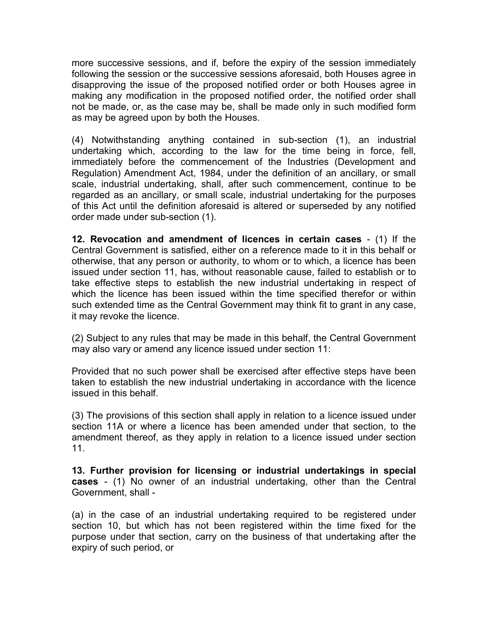more successive sessions, and if, before the expiry of the session immediately following the session or the successive sessions aforesaid, both Houses agree in disapproving the issue of the proposed notified order or both Houses agree in making any modification in the proposed notified order, the notified order shall not be made, or, as the case may be, shall be made only in such modified form as may be agreed upon by both the Houses.

(4) Notwithstanding anything contained in sub-section (1), an industrial undertaking which, according to the law for the time being in force, fell, immediately before the commencement of the Industries (Development and Regulation) Amendment Act, 1984, under the definition of an ancillary, or small scale, industrial undertaking, shall, after such commencement, continue to be regarded as an ancillary, or small scale, industrial undertaking for the purposes of this Act until the definition aforesaid is altered or superseded by any notified order made under sub-section (1).

12. Revocation and amendment of licences in certain cases - (1) If the Central Government is satisfied, either on a reference made to it in this behalf or otherwise, that any person or authority, to whom or to which, a licence has been issued under section 11, has, without reasonable cause, failed to establish or to take effective steps to establish the new industrial undertaking in respect of which the licence has been issued within the time specified therefor or within such extended time as the Central Government may think fit to grant in any case, it may revoke the licence.

(2) Subject to any rules that may be made in this behalf, the Central Government may also vary or amend any licence issued under section 11:

Provided that no such power shall be exercised after effective steps have been taken to establish the new industrial undertaking in accordance with the licence issued in this behalf.

(3) The provisions of this section shall apply in relation to a licence issued under section 11A or where a licence has been amended under that section, to the amendment thereof, as they apply in relation to a licence issued under section 11.

13. Further provision for licensing or industrial undertakings in special cases - (1) No owner of an industrial undertaking, other than the Central Government, shall -

(a) in the case of an industrial undertaking required to be registered under section 10, but which has not been registered within the time fixed for the purpose under that section, carry on the business of that undertaking after the expiry of such period, or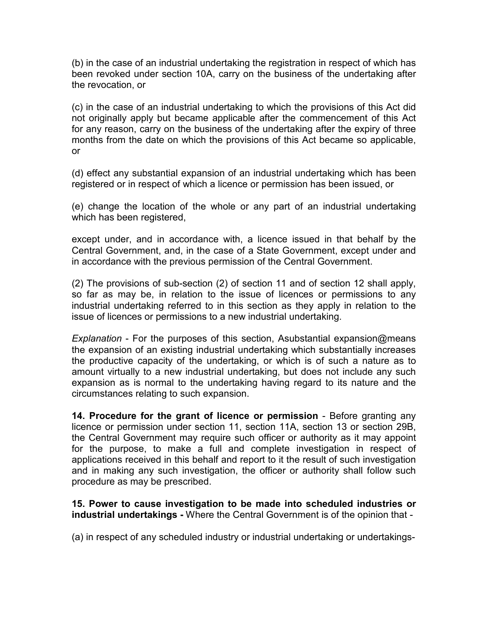(b) in the case of an industrial undertaking the registration in respect of which has been revoked under section 10A, carry on the business of the undertaking after the revocation, or

(c) in the case of an industrial undertaking to which the provisions of this Act did not originally apply but became applicable after the commencement of this Act for any reason, carry on the business of the undertaking after the expiry of three months from the date on which the provisions of this Act became so applicable, or

(d) effect any substantial expansion of an industrial undertaking which has been registered or in respect of which a licence or permission has been issued, or

(e) change the location of the whole or any part of an industrial undertaking which has been registered,

except under, and in accordance with, a licence issued in that behalf by the Central Government, and, in the case of a State Government, except under and in accordance with the previous permission of the Central Government.

(2) The provisions of sub-section (2) of section 11 and of section 12 shall apply, so far as may be, in relation to the issue of licences or permissions to any industrial undertaking referred to in this section as they apply in relation to the issue of licences or permissions to a new industrial undertaking.

Explanation - For the purposes of this section, Asubstantial expansion@means the expansion of an existing industrial undertaking which substantially increases the productive capacity of the undertaking, or which is of such a nature as to amount virtually to a new industrial undertaking, but does not include any such expansion as is normal to the undertaking having regard to its nature and the circumstances relating to such expansion.

14. Procedure for the grant of licence or permission - Before granting any licence or permission under section 11, section 11A, section 13 or section 29B, the Central Government may require such officer or authority as it may appoint for the purpose, to make a full and complete investigation in respect of applications received in this behalf and report to it the result of such investigation and in making any such investigation, the officer or authority shall follow such procedure as may be prescribed.

15. Power to cause investigation to be made into scheduled industries or industrial undertakings - Where the Central Government is of the opinion that -

(a) in respect of any scheduled industry or industrial undertaking or undertakings-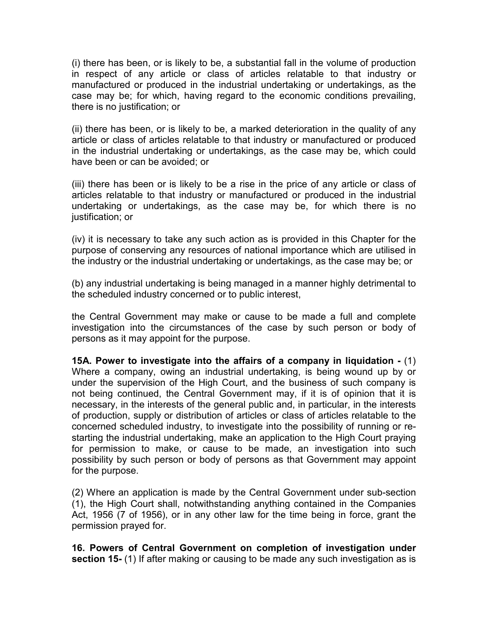(i) there has been, or is likely to be, a substantial fall in the volume of production in respect of any article or class of articles relatable to that industry or manufactured or produced in the industrial undertaking or undertakings, as the case may be; for which, having regard to the economic conditions prevailing, there is no justification; or

(ii) there has been, or is likely to be, a marked deterioration in the quality of any article or class of articles relatable to that industry or manufactured or produced in the industrial undertaking or undertakings, as the case may be, which could have been or can be avoided; or

(iii) there has been or is likely to be a rise in the price of any article or class of articles relatable to that industry or manufactured or produced in the industrial undertaking or undertakings, as the case may be, for which there is no justification; or

(iv) it is necessary to take any such action as is provided in this Chapter for the purpose of conserving any resources of national importance which are utilised in the industry or the industrial undertaking or undertakings, as the case may be; or

(b) any industrial undertaking is being managed in a manner highly detrimental to the scheduled industry concerned or to public interest,

the Central Government may make or cause to be made a full and complete investigation into the circumstances of the case by such person or body of persons as it may appoint for the purpose.

15A. Power to investigate into the affairs of a company in liquidation - (1) Where a company, owing an industrial undertaking, is being wound up by or under the supervision of the High Court, and the business of such company is not being continued, the Central Government may, if it is of opinion that it is necessary, in the interests of the general public and, in particular, in the interests of production, supply or distribution of articles or class of articles relatable to the concerned scheduled industry, to investigate into the possibility of running or restarting the industrial undertaking, make an application to the High Court praying for permission to make, or cause to be made, an investigation into such possibility by such person or body of persons as that Government may appoint for the purpose.

(2) Where an application is made by the Central Government under sub-section (1), the High Court shall, notwithstanding anything contained in the Companies Act, 1956 (7 of 1956), or in any other law for the time being in force, grant the permission prayed for.

16. Powers of Central Government on completion of investigation under section 15- (1) If after making or causing to be made any such investigation as is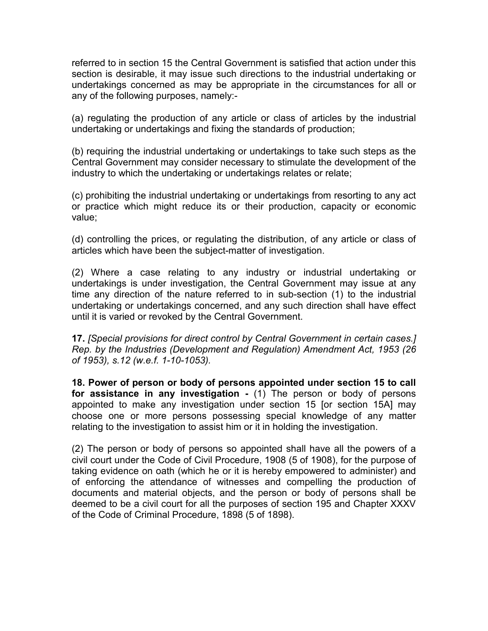referred to in section 15 the Central Government is satisfied that action under this section is desirable, it may issue such directions to the industrial undertaking or undertakings concerned as may be appropriate in the circumstances for all or any of the following purposes, namely:-

(a) regulating the production of any article or class of articles by the industrial undertaking or undertakings and fixing the standards of production;

(b) requiring the industrial undertaking or undertakings to take such steps as the Central Government may consider necessary to stimulate the development of the industry to which the undertaking or undertakings relates or relate;

(c) prohibiting the industrial undertaking or undertakings from resorting to any act or practice which might reduce its or their production, capacity or economic value;

(d) controlling the prices, or regulating the distribution, of any article or class of articles which have been the subject-matter of investigation.

(2) Where a case relating to any industry or industrial undertaking or undertakings is under investigation, the Central Government may issue at any time any direction of the nature referred to in sub-section (1) to the industrial undertaking or undertakings concerned, and any such direction shall have effect until it is varied or revoked by the Central Government.

17. [Special provisions for direct control by Central Government in certain cases.] Rep. by the Industries (Development and Regulation) Amendment Act, 1953 (26 of 1953), s.12 (w.e.f. 1-10-1053).

18. Power of person or body of persons appointed under section 15 to call for assistance in any investigation - (1) The person or body of persons appointed to make any investigation under section 15 [or section 15A] may choose one or more persons possessing special knowledge of any matter relating to the investigation to assist him or it in holding the investigation.

(2) The person or body of persons so appointed shall have all the powers of a civil court under the Code of Civil Procedure, 1908 (5 of 1908), for the purpose of taking evidence on oath (which he or it is hereby empowered to administer) and of enforcing the attendance of witnesses and compelling the production of documents and material objects, and the person or body of persons shall be deemed to be a civil court for all the purposes of section 195 and Chapter XXXV of the Code of Criminal Procedure, 1898 (5 of 1898).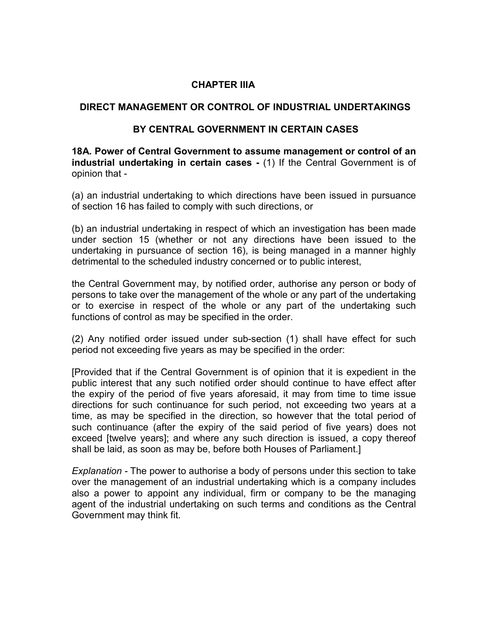#### CHAPTER IIIA

#### DIRECT MANAGEMENT OR CONTROL OF INDUSTRIAL UNDERTAKINGS

#### BY CENTRAL GOVERNMENT IN CERTAIN CASES

18A. Power of Central Government to assume management or control of an industrial undertaking in certain cases - (1) If the Central Government is of opinion that -

(a) an industrial undertaking to which directions have been issued in pursuance of section 16 has failed to comply with such directions, or

(b) an industrial undertaking in respect of which an investigation has been made under section 15 (whether or not any directions have been issued to the undertaking in pursuance of section 16), is being managed in a manner highly detrimental to the scheduled industry concerned or to public interest,

the Central Government may, by notified order, authorise any person or body of persons to take over the management of the whole or any part of the undertaking or to exercise in respect of the whole or any part of the undertaking such functions of control as may be specified in the order.

(2) Any notified order issued under sub-section (1) shall have effect for such period not exceeding five years as may be specified in the order:

[Provided that if the Central Government is of opinion that it is expedient in the public interest that any such notified order should continue to have effect after the expiry of the period of five years aforesaid, it may from time to time issue directions for such continuance for such period, not exceeding two years at a time, as may be specified in the direction, so however that the total period of such continuance (after the expiry of the said period of five years) does not exceed [twelve years]; and where any such direction is issued, a copy thereof shall be laid, as soon as may be, before both Houses of Parliament.]

Explanation - The power to authorise a body of persons under this section to take over the management of an industrial undertaking which is a company includes also a power to appoint any individual, firm or company to be the managing agent of the industrial undertaking on such terms and conditions as the Central Government may think fit.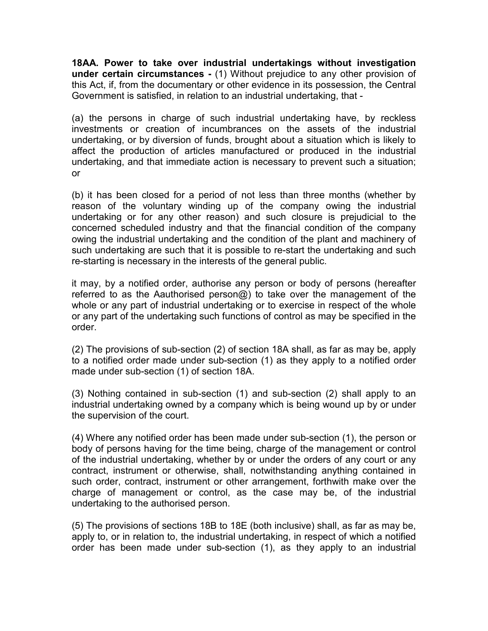18AA. Power to take over industrial undertakings without investigation under certain circumstances - (1) Without prejudice to any other provision of this Act, if, from the documentary or other evidence in its possession, the Central Government is satisfied, in relation to an industrial undertaking, that -

(a) the persons in charge of such industrial undertaking have, by reckless investments or creation of incumbrances on the assets of the industrial undertaking, or by diversion of funds, brought about a situation which is likely to affect the production of articles manufactured or produced in the industrial undertaking, and that immediate action is necessary to prevent such a situation; or

(b) it has been closed for a period of not less than three months (whether by reason of the voluntary winding up of the company owing the industrial undertaking or for any other reason) and such closure is prejudicial to the concerned scheduled industry and that the financial condition of the company owing the industrial undertaking and the condition of the plant and machinery of such undertaking are such that it is possible to re-start the undertaking and such re-starting is necessary in the interests of the general public.

it may, by a notified order, authorise any person or body of persons (hereafter referred to as the Aauthorised person $\omega$ ) to take over the management of the whole or any part of industrial undertaking or to exercise in respect of the whole or any part of the undertaking such functions of control as may be specified in the order.

(2) The provisions of sub-section (2) of section 18A shall, as far as may be, apply to a notified order made under sub-section (1) as they apply to a notified order made under sub-section (1) of section 18A.

(3) Nothing contained in sub-section (1) and sub-section (2) shall apply to an industrial undertaking owned by a company which is being wound up by or under the supervision of the court.

(4) Where any notified order has been made under sub-section (1), the person or body of persons having for the time being, charge of the management or control of the industrial undertaking, whether by or under the orders of any court or any contract, instrument or otherwise, shall, notwithstanding anything contained in such order, contract, instrument or other arrangement, forthwith make over the charge of management or control, as the case may be, of the industrial undertaking to the authorised person.

(5) The provisions of sections 18B to 18E (both inclusive) shall, as far as may be, apply to, or in relation to, the industrial undertaking, in respect of which a notified order has been made under sub-section (1), as they apply to an industrial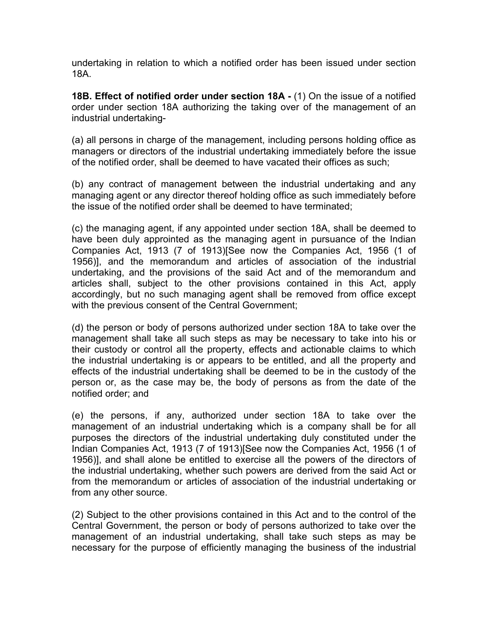undertaking in relation to which a notified order has been issued under section 18A.

18B. Effect of notified order under section 18A - (1) On the issue of a notified order under section 18A authorizing the taking over of the management of an industrial undertaking-

(a) all persons in charge of the management, including persons holding office as managers or directors of the industrial undertaking immediately before the issue of the notified order, shall be deemed to have vacated their offices as such;

(b) any contract of management between the industrial undertaking and any managing agent or any director thereof holding office as such immediately before the issue of the notified order shall be deemed to have terminated;

(c) the managing agent, if any appointed under section 18A, shall be deemed to have been duly approinted as the managing agent in pursuance of the Indian Companies Act, 1913 (7 of 1913)[See now the Companies Act, 1956 (1 of 1956)], and the memorandum and articles of association of the industrial undertaking, and the provisions of the said Act and of the memorandum and articles shall, subject to the other provisions contained in this Act, apply accordingly, but no such managing agent shall be removed from office except with the previous consent of the Central Government;

(d) the person or body of persons authorized under section 18A to take over the management shall take all such steps as may be necessary to take into his or their custody or control all the property, effects and actionable claims to which the industrial undertaking is or appears to be entitled, and all the property and effects of the industrial undertaking shall be deemed to be in the custody of the person or, as the case may be, the body of persons as from the date of the notified order; and

(e) the persons, if any, authorized under section 18A to take over the management of an industrial undertaking which is a company shall be for all purposes the directors of the industrial undertaking duly constituted under the Indian Companies Act, 1913 (7 of 1913)[See now the Companies Act, 1956 (1 of 1956)], and shall alone be entitled to exercise all the powers of the directors of the industrial undertaking, whether such powers are derived from the said Act or from the memorandum or articles of association of the industrial undertaking or from any other source.

(2) Subject to the other provisions contained in this Act and to the control of the Central Government, the person or body of persons authorized to take over the management of an industrial undertaking, shall take such steps as may be necessary for the purpose of efficiently managing the business of the industrial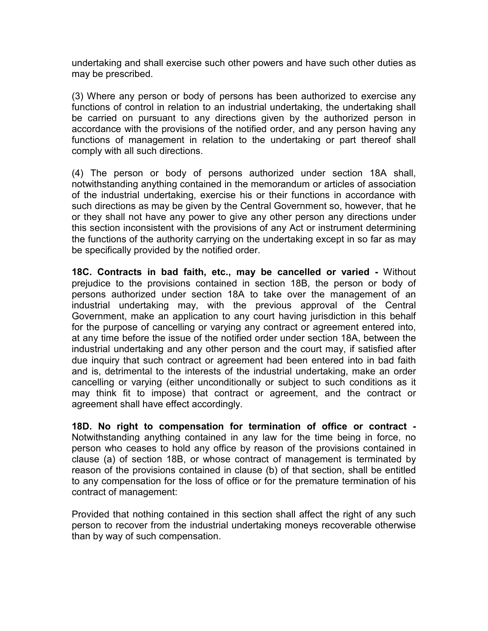undertaking and shall exercise such other powers and have such other duties as may be prescribed.

(3) Where any person or body of persons has been authorized to exercise any functions of control in relation to an industrial undertaking, the undertaking shall be carried on pursuant to any directions given by the authorized person in accordance with the provisions of the notified order, and any person having any functions of management in relation to the undertaking or part thereof shall comply with all such directions.

(4) The person or body of persons authorized under section 18A shall, notwithstanding anything contained in the memorandum or articles of association of the industrial undertaking, exercise his or their functions in accordance with such directions as may be given by the Central Government so, however, that he or they shall not have any power to give any other person any directions under this section inconsistent with the provisions of any Act or instrument determining the functions of the authority carrying on the undertaking except in so far as may be specifically provided by the notified order.

18C. Contracts in bad faith, etc., may be cancelled or varied - Without prejudice to the provisions contained in section 18B, the person or body of persons authorized under section 18A to take over the management of an industrial undertaking may, with the previous approval of the Central Government, make an application to any court having jurisdiction in this behalf for the purpose of cancelling or varying any contract or agreement entered into, at any time before the issue of the notified order under section 18A, between the industrial undertaking and any other person and the court may, if satisfied after due inquiry that such contract or agreement had been entered into in bad faith and is, detrimental to the interests of the industrial undertaking, make an order cancelling or varying (either unconditionally or subject to such conditions as it may think fit to impose) that contract or agreement, and the contract or agreement shall have effect accordingly.

18D. No right to compensation for termination of office or contract - Notwithstanding anything contained in any law for the time being in force, no person who ceases to hold any office by reason of the provisions contained in clause (a) of section 18B, or whose contract of management is terminated by reason of the provisions contained in clause (b) of that section, shall be entitled to any compensation for the loss of office or for the premature termination of his contract of management:

Provided that nothing contained in this section shall affect the right of any such person to recover from the industrial undertaking moneys recoverable otherwise than by way of such compensation.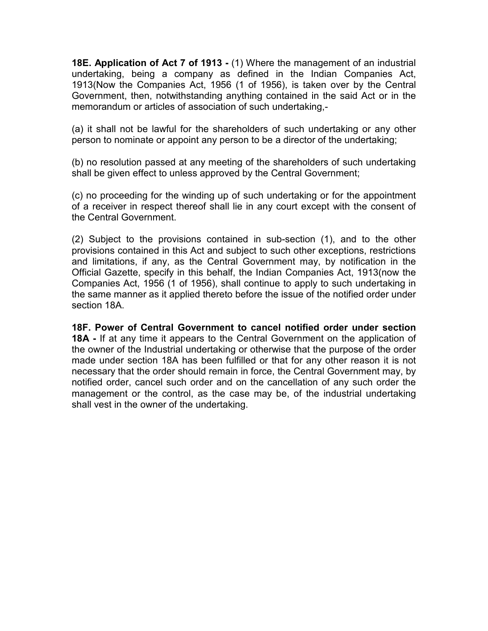18E. Application of Act 7 of 1913 - (1) Where the management of an industrial undertaking, being a company as defined in the Indian Companies Act, 1913(Now the Companies Act, 1956 (1 of 1956), is taken over by the Central Government, then, notwithstanding anything contained in the said Act or in the memorandum or articles of association of such undertaking,-

(a) it shall not be lawful for the shareholders of such undertaking or any other person to nominate or appoint any person to be a director of the undertaking;

(b) no resolution passed at any meeting of the shareholders of such undertaking shall be given effect to unless approved by the Central Government;

(c) no proceeding for the winding up of such undertaking or for the appointment of a receiver in respect thereof shall lie in any court except with the consent of the Central Government.

(2) Subject to the provisions contained in sub-section (1), and to the other provisions contained in this Act and subject to such other exceptions, restrictions and limitations, if any, as the Central Government may, by notification in the Official Gazette, specify in this behalf, the Indian Companies Act, 1913(now the Companies Act, 1956 (1 of 1956), shall continue to apply to such undertaking in the same manner as it applied thereto before the issue of the notified order under section 18A.

18F. Power of Central Government to cancel notified order under section 18A - If at any time it appears to the Central Government on the application of the owner of the Industrial undertaking or otherwise that the purpose of the order made under section 18A has been fulfilled or that for any other reason it is not necessary that the order should remain in force, the Central Government may, by notified order, cancel such order and on the cancellation of any such order the management or the control, as the case may be, of the industrial undertaking shall vest in the owner of the undertaking.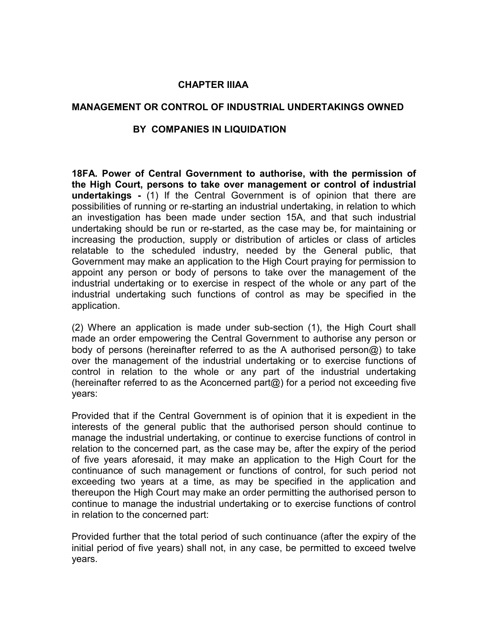#### CHAPTER IIIAA

#### MANAGEMENT OR CONTROL OF INDUSTRIAL UNDERTAKINGS OWNED

#### BY COMPANIES IN LIQUIDATION

18FA. Power of Central Government to authorise, with the permission of the High Court, persons to take over management or control of industrial undertakings - (1) If the Central Government is of opinion that there are possibilities of running or re-starting an industrial undertaking, in relation to which an investigation has been made under section 15A, and that such industrial undertaking should be run or re-started, as the case may be, for maintaining or increasing the production, supply or distribution of articles or class of articles relatable to the scheduled industry, needed by the General public, that Government may make an application to the High Court praying for permission to appoint any person or body of persons to take over the management of the industrial undertaking or to exercise in respect of the whole or any part of the industrial undertaking such functions of control as may be specified in the application.

(2) Where an application is made under sub-section (1), the High Court shall made an order empowering the Central Government to authorise any person or body of persons (hereinafter referred to as the A authorised person@) to take over the management of the industrial undertaking or to exercise functions of control in relation to the whole or any part of the industrial undertaking (hereinafter referred to as the Aconcerned part $\omega$ ) for a period not exceeding five years:

Provided that if the Central Government is of opinion that it is expedient in the interests of the general public that the authorised person should continue to manage the industrial undertaking, or continue to exercise functions of control in relation to the concerned part, as the case may be, after the expiry of the period of five years aforesaid, it may make an application to the High Court for the continuance of such management or functions of control, for such period not exceeding two years at a time, as may be specified in the application and thereupon the High Court may make an order permitting the authorised person to continue to manage the industrial undertaking or to exercise functions of control in relation to the concerned part:

Provided further that the total period of such continuance (after the expiry of the initial period of five years) shall not, in any case, be permitted to exceed twelve years.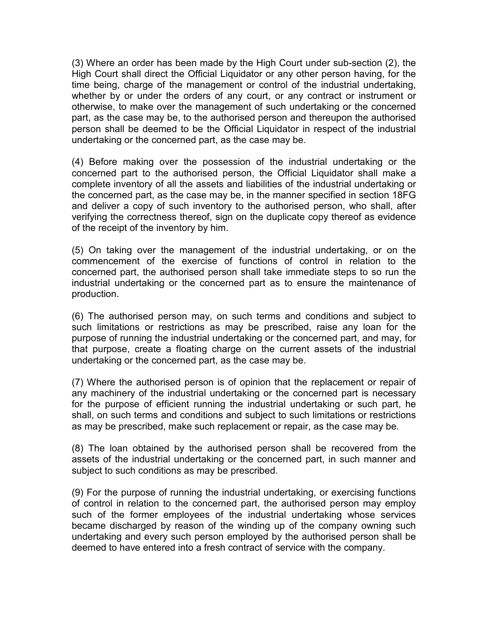(3) Where an order has been made by the High Court under sub-section (2), the High Court shall direct the Official Liquidator or any other person having, for the time being, charge of the management or control of the industrial undertaking, whether by or under the orders of any court, or any contract or instrument or otherwise, to make over the management of such undertaking or the concerned part, as the case may be, to the authorised person and thereupon the authorised person shall be deemed to be the Official Liquidator in respect of the industrial undertaking or the concerned part, as the case may be.

(4) Before making over the possession of the industrial undertaking or the concerned part to the authorised person, the Official Liquidator shall make a complete inventory of all the assets and liabilities of the industrial undertaking or the concerned part, as the case may be, in the manner specified in section 18FG and deliver a copy of such inventory to the authorised person, who shall, after verifying the correctness thereof, sign on the duplicate copy thereof as evidence of the receipt of the inventory by him.

(5) On taking over the management of the industrial undertaking, or on the commencement of the exercise of functions of control in relation to the concerned part, the authorised person shall take immediate steps to so run the industrial undertaking or the concerned part as to ensure the maintenance of production.

(6) The authorised person may, on such terms and conditions and subject to such limitations or restrictions as may be prescribed, raise any loan for the purpose of running the industrial undertaking or the concerned part, and may, for that purpose, create a floating charge on the current assets of the industrial undertaking or the concerned part, as the case may be.

(7) Where the authorised person is of opinion that the replacement or repair of any machinery of the industrial undertaking or the concerned part is necessary for the purpose of efficient running the industrial undertaking or such part, he shall, on such terms and conditions and subject to such limitations or restrictions as may be prescribed, make such replacement or repair, as the case may be.

(8) The loan obtained by the authorised person shall be recovered from the assets of the industrial undertaking or the concerned part, in such manner and subject to such conditions as may be prescribed.

(9) For the purpose of running the industrial undertaking, or exercising functions of control in relation to the concerned part, the authorised person may employ such of the former employees of the industrial undertaking whose services became discharged by reason of the winding up of the company owning such undertaking and every such person employed by the authorised person shall be deemed to have entered into a fresh contract of service with the company.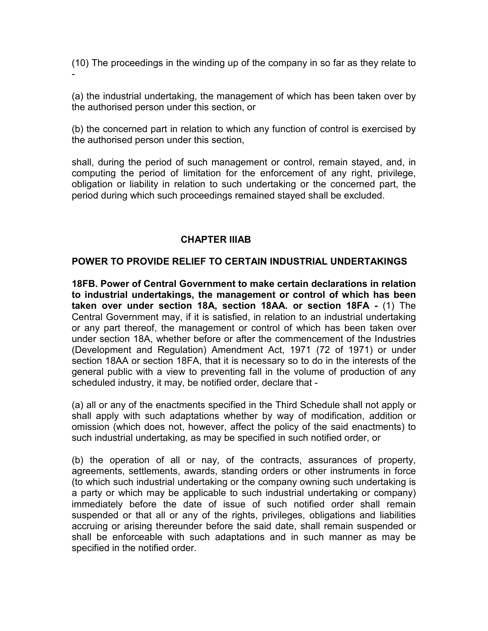(10) The proceedings in the winding up of the company in so far as they relate to -

(a) the industrial undertaking, the management of which has been taken over by the authorised person under this section, or

(b) the concerned part in relation to which any function of control is exercised by the authorised person under this section,

shall, during the period of such management or control, remain stayed, and, in computing the period of limitation for the enforcement of any right, privilege, obligation or liability in relation to such undertaking or the concerned part, the period during which such proceedings remained stayed shall be excluded.

## CHAPTER IIIAB

## POWER TO PROVIDE RELIEF TO CERTAIN INDUSTRIAL UNDERTAKINGS

18FB. Power of Central Government to make certain declarations in relation to industrial undertakings, the management or control of which has been taken over under section 18A, section 18AA. or section 18FA - (1) The Central Government may, if it is satisfied, in relation to an industrial undertaking or any part thereof, the management or control of which has been taken over under section 18A, whether before or after the commencement of the Industries (Development and Regulation) Amendment Act, 1971 (72 of 1971) or under section 18AA or section 18FA, that it is necessary so to do in the interests of the general public with a view to preventing fall in the volume of production of any scheduled industry, it may, be notified order, declare that -

(a) all or any of the enactments specified in the Third Schedule shall not apply or shall apply with such adaptations whether by way of modification, addition or omission (which does not, however, affect the policy of the said enactments) to such industrial undertaking, as may be specified in such notified order, or

(b) the operation of all or nay, of the contracts, assurances of property, agreements, settlements, awards, standing orders or other instruments in force (to which such industrial undertaking or the company owning such undertaking is a party or which may be applicable to such industrial undertaking or company) immediately before the date of issue of such notified order shall remain suspended or that all or any of the rights, privileges, obligations and liabilities accruing or arising thereunder before the said date, shall remain suspended or shall be enforceable with such adaptations and in such manner as may be specified in the notified order.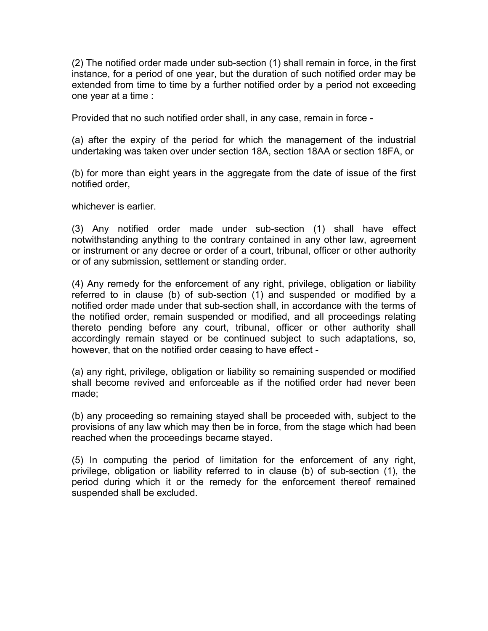(2) The notified order made under sub-section (1) shall remain in force, in the first instance, for a period of one year, but the duration of such notified order may be extended from time to time by a further notified order by a period not exceeding one year at a time :

Provided that no such notified order shall, in any case, remain in force -

(a) after the expiry of the period for which the management of the industrial undertaking was taken over under section 18A, section 18AA or section 18FA, or

(b) for more than eight years in the aggregate from the date of issue of the first notified order,

whichever is earlier.

(3) Any notified order made under sub-section (1) shall have effect notwithstanding anything to the contrary contained in any other law, agreement or instrument or any decree or order of a court, tribunal, officer or other authority or of any submission, settlement or standing order.

(4) Any remedy for the enforcement of any right, privilege, obligation or liability referred to in clause (b) of sub-section (1) and suspended or modified by a notified order made under that sub-section shall, in accordance with the terms of the notified order, remain suspended or modified, and all proceedings relating thereto pending before any court, tribunal, officer or other authority shall accordingly remain stayed or be continued subject to such adaptations, so, however, that on the notified order ceasing to have effect -

(a) any right, privilege, obligation or liability so remaining suspended or modified shall become revived and enforceable as if the notified order had never been made;

(b) any proceeding so remaining stayed shall be proceeded with, subject to the provisions of any law which may then be in force, from the stage which had been reached when the proceedings became stayed.

(5) In computing the period of limitation for the enforcement of any right, privilege, obligation or liability referred to in clause (b) of sub-section (1), the period during which it or the remedy for the enforcement thereof remained suspended shall be excluded.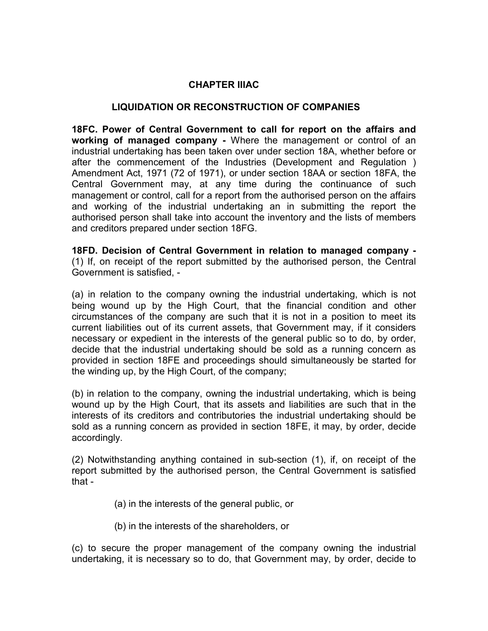#### CHAPTER IIIAC

#### LIQUIDATION OR RECONSTRUCTION OF COMPANIES

18FC. Power of Central Government to call for report on the affairs and working of managed company - Where the management or control of an industrial undertaking has been taken over under section 18A, whether before or after the commencement of the Industries (Development and Regulation ) Amendment Act, 1971 (72 of 1971), or under section 18AA or section 18FA, the Central Government may, at any time during the continuance of such management or control, call for a report from the authorised person on the affairs and working of the industrial undertaking an in submitting the report the authorised person shall take into account the inventory and the lists of members and creditors prepared under section 18FG.

18FD. Decision of Central Government in relation to managed company - (1) If, on receipt of the report submitted by the authorised person, the Central Government is satisfied, -

(a) in relation to the company owning the industrial undertaking, which is not being wound up by the High Court, that the financial condition and other circumstances of the company are such that it is not in a position to meet its current liabilities out of its current assets, that Government may, if it considers necessary or expedient in the interests of the general public so to do, by order, decide that the industrial undertaking should be sold as a running concern as provided in section 18FE and proceedings should simultaneously be started for the winding up, by the High Court, of the company;

(b) in relation to the company, owning the industrial undertaking, which is being wound up by the High Court, that its assets and liabilities are such that in the interests of its creditors and contributories the industrial undertaking should be sold as a running concern as provided in section 18FE, it may, by order, decide accordingly.

(2) Notwithstanding anything contained in sub-section (1), if, on receipt of the report submitted by the authorised person, the Central Government is satisfied that -

- (a) in the interests of the general public, or
- (b) in the interests of the shareholders, or

(c) to secure the proper management of the company owning the industrial undertaking, it is necessary so to do, that Government may, by order, decide to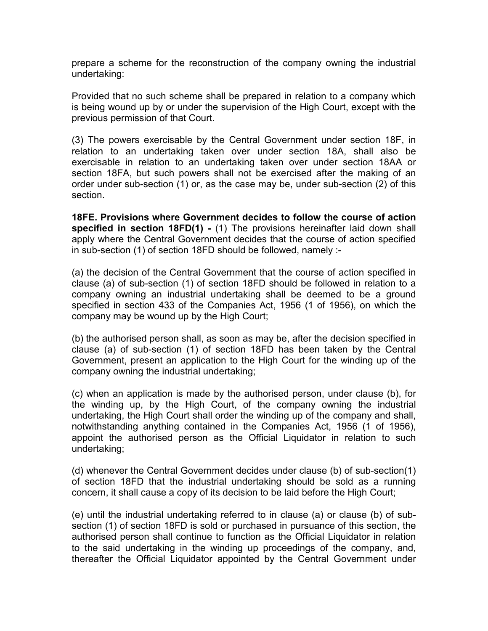prepare a scheme for the reconstruction of the company owning the industrial undertaking:

Provided that no such scheme shall be prepared in relation to a company which is being wound up by or under the supervision of the High Court, except with the previous permission of that Court.

(3) The powers exercisable by the Central Government under section 18F, in relation to an undertaking taken over under section 18A, shall also be exercisable in relation to an undertaking taken over under section 18AA or section 18FA, but such powers shall not be exercised after the making of an order under sub-section (1) or, as the case may be, under sub-section (2) of this section.

18FE. Provisions where Government decides to follow the course of action specified in section 18FD(1) - (1) The provisions hereinafter laid down shall apply where the Central Government decides that the course of action specified in sub-section (1) of section 18FD should be followed, namely :-

(a) the decision of the Central Government that the course of action specified in clause (a) of sub-section (1) of section 18FD should be followed in relation to a company owning an industrial undertaking shall be deemed to be a ground specified in section 433 of the Companies Act, 1956 (1 of 1956), on which the company may be wound up by the High Court;

(b) the authorised person shall, as soon as may be, after the decision specified in clause (a) of sub-section (1) of section 18FD has been taken by the Central Government, present an application to the High Court for the winding up of the company owning the industrial undertaking;

(c) when an application is made by the authorised person, under clause (b), for the winding up, by the High Court, of the company owning the industrial undertaking, the High Court shall order the winding up of the company and shall, notwithstanding anything contained in the Companies Act, 1956 (1 of 1956), appoint the authorised person as the Official Liquidator in relation to such undertaking;

(d) whenever the Central Government decides under clause (b) of sub-section(1) of section 18FD that the industrial undertaking should be sold as a running concern, it shall cause a copy of its decision to be laid before the High Court;

(e) until the industrial undertaking referred to in clause (a) or clause (b) of subsection (1) of section 18FD is sold or purchased in pursuance of this section, the authorised person shall continue to function as the Official Liquidator in relation to the said undertaking in the winding up proceedings of the company, and, thereafter the Official Liquidator appointed by the Central Government under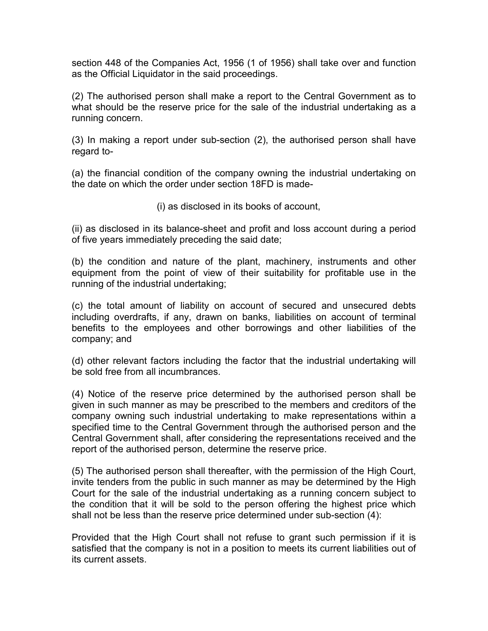section 448 of the Companies Act, 1956 (1 of 1956) shall take over and function as the Official Liquidator in the said proceedings.

(2) The authorised person shall make a report to the Central Government as to what should be the reserve price for the sale of the industrial undertaking as a running concern.

(3) In making a report under sub-section (2), the authorised person shall have regard to-

(a) the financial condition of the company owning the industrial undertaking on the date on which the order under section 18FD is made-

(i) as disclosed in its books of account,

(ii) as disclosed in its balance-sheet and profit and loss account during a period of five years immediately preceding the said date;

(b) the condition and nature of the plant, machinery, instruments and other equipment from the point of view of their suitability for profitable use in the running of the industrial undertaking;

(c) the total amount of liability on account of secured and unsecured debts including overdrafts, if any, drawn on banks, liabilities on account of terminal benefits to the employees and other borrowings and other liabilities of the company; and

(d) other relevant factors including the factor that the industrial undertaking will be sold free from all incumbrances.

(4) Notice of the reserve price determined by the authorised person shall be given in such manner as may be prescribed to the members and creditors of the company owning such industrial undertaking to make representations within a specified time to the Central Government through the authorised person and the Central Government shall, after considering the representations received and the report of the authorised person, determine the reserve price.

(5) The authorised person shall thereafter, with the permission of the High Court, invite tenders from the public in such manner as may be determined by the High Court for the sale of the industrial undertaking as a running concern subject to the condition that it will be sold to the person offering the highest price which shall not be less than the reserve price determined under sub-section (4):

Provided that the High Court shall not refuse to grant such permission if it is satisfied that the company is not in a position to meets its current liabilities out of its current assets.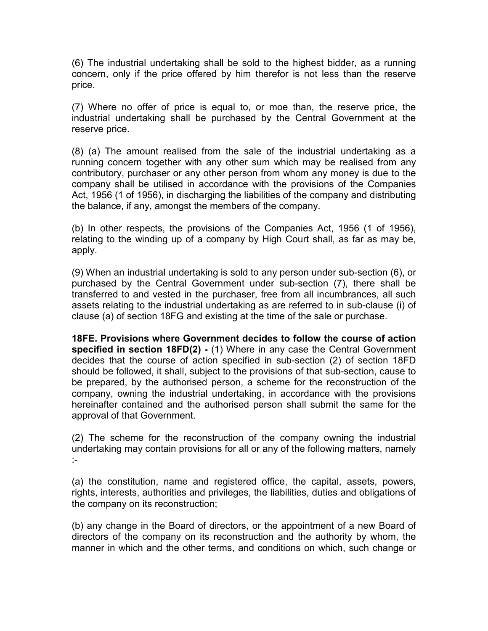(6) The industrial undertaking shall be sold to the highest bidder, as a running concern, only if the price offered by him therefor is not less than the reserve price.

(7) Where no offer of price is equal to, or moe than, the reserve price, the industrial undertaking shall be purchased by the Central Government at the reserve price.

(8) (a) The amount realised from the sale of the industrial undertaking as a running concern together with any other sum which may be realised from any contributory, purchaser or any other person from whom any money is due to the company shall be utilised in accordance with the provisions of the Companies Act, 1956 (1 of 1956), in discharging the liabilities of the company and distributing the balance, if any, amongst the members of the company.

(b) In other respects, the provisions of the Companies Act, 1956 (1 of 1956), relating to the winding up of a company by High Court shall, as far as may be, apply.

(9) When an industrial undertaking is sold to any person under sub-section (6), or purchased by the Central Government under sub-section (7), there shall be transferred to and vested in the purchaser, free from all incumbrances, all such assets relating to the industrial undertaking as are referred to in sub-clause (i) of clause (a) of section 18FG and existing at the time of the sale or purchase.

18FE. Provisions where Government decides to follow the course of action specified in section 18FD(2) - (1) Where in any case the Central Government decides that the course of action specified in sub-section (2) of section 18FD should be followed, it shall, subject to the provisions of that sub-section, cause to be prepared, by the authorised person, a scheme for the reconstruction of the company, owning the industrial undertaking, in accordance with the provisions hereinafter contained and the authorised person shall submit the same for the approval of that Government.

(2) The scheme for the reconstruction of the company owning the industrial undertaking may contain provisions for all or any of the following matters, namely :-

(a) the constitution, name and registered office, the capital, assets, powers, rights, interests, authorities and privileges, the liabilities, duties and obligations of the company on its reconstruction;

(b) any change in the Board of directors, or the appointment of a new Board of directors of the company on its reconstruction and the authority by whom, the manner in which and the other terms, and conditions on which, such change or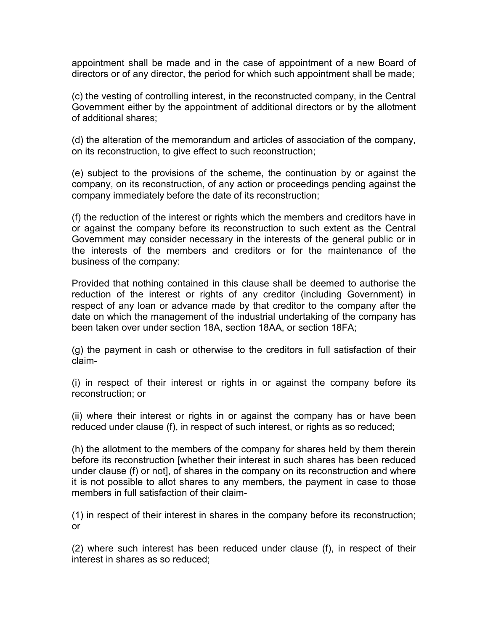appointment shall be made and in the case of appointment of a new Board of directors or of any director, the period for which such appointment shall be made;

(c) the vesting of controlling interest, in the reconstructed company, in the Central Government either by the appointment of additional directors or by the allotment of additional shares;

(d) the alteration of the memorandum and articles of association of the company, on its reconstruction, to give effect to such reconstruction;

(e) subject to the provisions of the scheme, the continuation by or against the company, on its reconstruction, of any action or proceedings pending against the company immediately before the date of its reconstruction;

(f) the reduction of the interest or rights which the members and creditors have in or against the company before its reconstruction to such extent as the Central Government may consider necessary in the interests of the general public or in the interests of the members and creditors or for the maintenance of the business of the company:

Provided that nothing contained in this clause shall be deemed to authorise the reduction of the interest or rights of any creditor (including Government) in respect of any loan or advance made by that creditor to the company after the date on which the management of the industrial undertaking of the company has been taken over under section 18A, section 18AA, or section 18FA;

(g) the payment in cash or otherwise to the creditors in full satisfaction of their claim-

(i) in respect of their interest or rights in or against the company before its reconstruction; or

(ii) where their interest or rights in or against the company has or have been reduced under clause (f), in respect of such interest, or rights as so reduced;

(h) the allotment to the members of the company for shares held by them therein before its reconstruction [whether their interest in such shares has been reduced under clause (f) or not], of shares in the company on its reconstruction and where it is not possible to allot shares to any members, the payment in case to those members in full satisfaction of their claim-

(1) in respect of their interest in shares in the company before its reconstruction; or

(2) where such interest has been reduced under clause (f), in respect of their interest in shares as so reduced;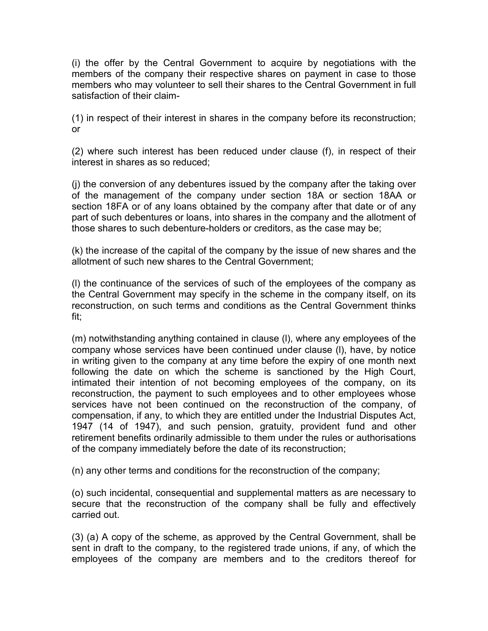(i) the offer by the Central Government to acquire by negotiations with the members of the company their respective shares on payment in case to those members who may volunteer to sell their shares to the Central Government in full satisfaction of their claim-

(1) in respect of their interest in shares in the company before its reconstruction; or

(2) where such interest has been reduced under clause (f), in respect of their interest in shares as so reduced;

(j) the conversion of any debentures issued by the company after the taking over of the management of the company under section 18A or section 18AA or section 18FA or of any loans obtained by the company after that date or of any part of such debentures or loans, into shares in the company and the allotment of those shares to such debenture-holders or creditors, as the case may be;

(k) the increase of the capital of the company by the issue of new shares and the allotment of such new shares to the Central Government;

(l) the continuance of the services of such of the employees of the company as the Central Government may specify in the scheme in the company itself, on its reconstruction, on such terms and conditions as the Central Government thinks fit;

(m) notwithstanding anything contained in clause (l), where any employees of the company whose services have been continued under clause (l), have, by notice in writing given to the company at any time before the expiry of one month next following the date on which the scheme is sanctioned by the High Court, intimated their intention of not becoming employees of the company, on its reconstruction, the payment to such employees and to other employees whose services have not been continued on the reconstruction of the company, of compensation, if any, to which they are entitled under the Industrial Disputes Act, 1947 (14 of 1947), and such pension, gratuity, provident fund and other retirement benefits ordinarily admissible to them under the rules or authorisations of the company immediately before the date of its reconstruction;

(n) any other terms and conditions for the reconstruction of the company;

(o) such incidental, consequential and supplemental matters as are necessary to secure that the reconstruction of the company shall be fully and effectively carried out.

(3) (a) A copy of the scheme, as approved by the Central Government, shall be sent in draft to the company, to the registered trade unions, if any, of which the employees of the company are members and to the creditors thereof for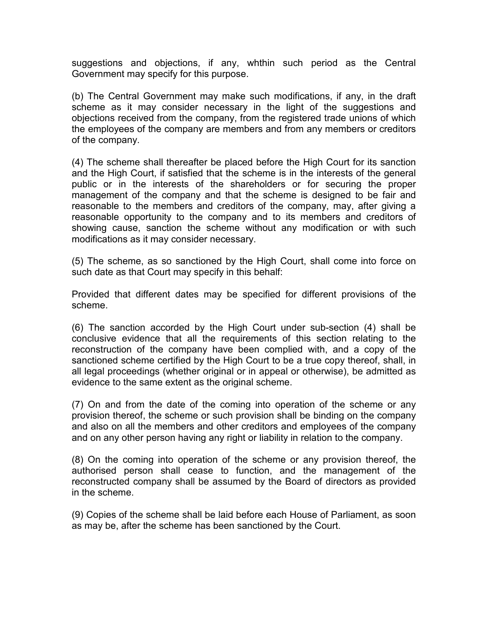suggestions and objections, if any, whthin such period as the Central Government may specify for this purpose.

(b) The Central Government may make such modifications, if any, in the draft scheme as it may consider necessary in the light of the suggestions and objections received from the company, from the registered trade unions of which the employees of the company are members and from any members or creditors of the company.

(4) The scheme shall thereafter be placed before the High Court for its sanction and the High Court, if satisfied that the scheme is in the interests of the general public or in the interests of the shareholders or for securing the proper management of the company and that the scheme is designed to be fair and reasonable to the members and creditors of the company, may, after giving a reasonable opportunity to the company and to its members and creditors of showing cause, sanction the scheme without any modification or with such modifications as it may consider necessary.

(5) The scheme, as so sanctioned by the High Court, shall come into force on such date as that Court may specify in this behalf:

Provided that different dates may be specified for different provisions of the scheme.

(6) The sanction accorded by the High Court under sub-section (4) shall be conclusive evidence that all the requirements of this section relating to the reconstruction of the company have been complied with, and a copy of the sanctioned scheme certified by the High Court to be a true copy thereof, shall, in all legal proceedings (whether original or in appeal or otherwise), be admitted as evidence to the same extent as the original scheme.

(7) On and from the date of the coming into operation of the scheme or any provision thereof, the scheme or such provision shall be binding on the company and also on all the members and other creditors and employees of the company and on any other person having any right or liability in relation to the company.

(8) On the coming into operation of the scheme or any provision thereof, the authorised person shall cease to function, and the management of the reconstructed company shall be assumed by the Board of directors as provided in the scheme.

(9) Copies of the scheme shall be laid before each House of Parliament, as soon as may be, after the scheme has been sanctioned by the Court.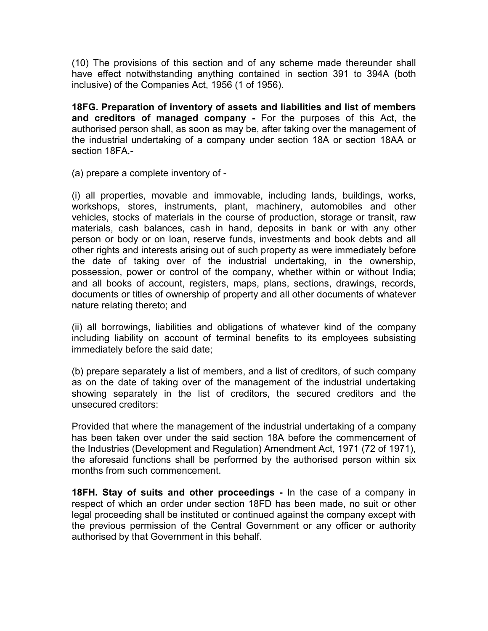(10) The provisions of this section and of any scheme made thereunder shall have effect notwithstanding anything contained in section 391 to 394A (both inclusive) of the Companies Act, 1956 (1 of 1956).

18FG. Preparation of inventory of assets and liabilities and list of members and creditors of managed company - For the purposes of this Act, the authorised person shall, as soon as may be, after taking over the management of the industrial undertaking of a company under section 18A or section 18AA or section 18FA,-

(a) prepare a complete inventory of -

(i) all properties, movable and immovable, including lands, buildings, works, workshops, stores, instruments, plant, machinery, automobiles and other vehicles, stocks of materials in the course of production, storage or transit, raw materials, cash balances, cash in hand, deposits in bank or with any other person or body or on loan, reserve funds, investments and book debts and all other rights and interests arising out of such property as were immediately before the date of taking over of the industrial undertaking, in the ownership, possession, power or control of the company, whether within or without India; and all books of account, registers, maps, plans, sections, drawings, records, documents or titles of ownership of property and all other documents of whatever nature relating thereto; and

(ii) all borrowings, liabilities and obligations of whatever kind of the company including liability on account of terminal benefits to its employees subsisting immediately before the said date;

(b) prepare separately a list of members, and a list of creditors, of such company as on the date of taking over of the management of the industrial undertaking showing separately in the list of creditors, the secured creditors and the unsecured creditors:

Provided that where the management of the industrial undertaking of a company has been taken over under the said section 18A before the commencement of the Industries (Development and Regulation) Amendment Act, 1971 (72 of 1971), the aforesaid functions shall be performed by the authorised person within six months from such commencement.

18FH. Stay of suits and other proceedings - In the case of a company in respect of which an order under section 18FD has been made, no suit or other legal proceeding shall be instituted or continued against the company except with the previous permission of the Central Government or any officer or authority authorised by that Government in this behalf.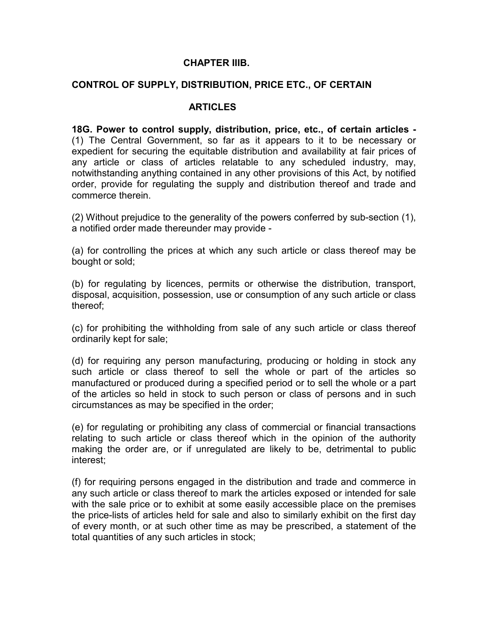#### CHAPTER IIIB.

#### CONTROL OF SUPPLY, DISTRIBUTION, PRICE ETC., OF CERTAIN

#### **ARTICLES**

18G. Power to control supply, distribution, price, etc., of certain articles - (1) The Central Government, so far as it appears to it to be necessary or expedient for securing the equitable distribution and availability at fair prices of any article or class of articles relatable to any scheduled industry, may, notwithstanding anything contained in any other provisions of this Act, by notified order, provide for regulating the supply and distribution thereof and trade and commerce therein.

(2) Without prejudice to the generality of the powers conferred by sub-section (1), a notified order made thereunder may provide -

(a) for controlling the prices at which any such article or class thereof may be bought or sold;

(b) for regulating by licences, permits or otherwise the distribution, transport, disposal, acquisition, possession, use or consumption of any such article or class thereof;

(c) for prohibiting the withholding from sale of any such article or class thereof ordinarily kept for sale;

(d) for requiring any person manufacturing, producing or holding in stock any such article or class thereof to sell the whole or part of the articles so manufactured or produced during a specified period or to sell the whole or a part of the articles so held in stock to such person or class of persons and in such circumstances as may be specified in the order;

(e) for regulating or prohibiting any class of commercial or financial transactions relating to such article or class thereof which in the opinion of the authority making the order are, or if unregulated are likely to be, detrimental to public interest;

(f) for requiring persons engaged in the distribution and trade and commerce in any such article or class thereof to mark the articles exposed or intended for sale with the sale price or to exhibit at some easily accessible place on the premises the price-lists of articles held for sale and also to similarly exhibit on the first day of every month, or at such other time as may be prescribed, a statement of the total quantities of any such articles in stock;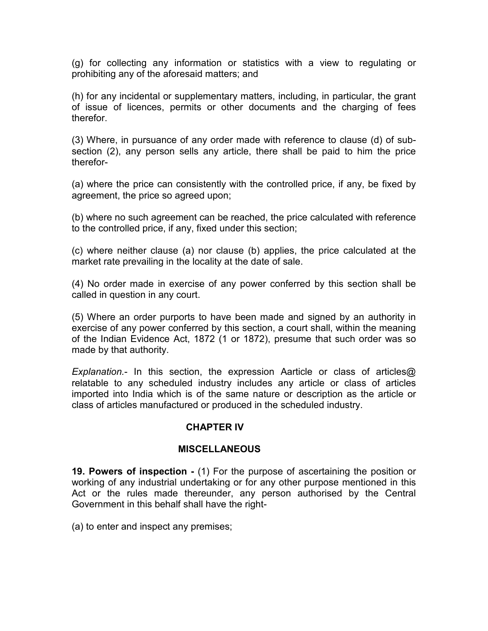(g) for collecting any information or statistics with a view to regulating or prohibiting any of the aforesaid matters; and

(h) for any incidental or supplementary matters, including, in particular, the grant of issue of licences, permits or other documents and the charging of fees therefor.

(3) Where, in pursuance of any order made with reference to clause (d) of subsection (2), any person sells any article, there shall be paid to him the price therefor-

(a) where the price can consistently with the controlled price, if any, be fixed by agreement, the price so agreed upon;

(b) where no such agreement can be reached, the price calculated with reference to the controlled price, if any, fixed under this section;

(c) where neither clause (a) nor clause (b) applies, the price calculated at the market rate prevailing in the locality at the date of sale.

(4) No order made in exercise of any power conferred by this section shall be called in question in any court.

(5) Where an order purports to have been made and signed by an authority in exercise of any power conferred by this section, a court shall, within the meaning of the Indian Evidence Act, 1872 (1 or 1872), presume that such order was so made by that authority.

Explanation.- In this section, the expression Aarticle or class of articles@ relatable to any scheduled industry includes any article or class of articles imported into India which is of the same nature or description as the article or class of articles manufactured or produced in the scheduled industry.

#### CHAPTER IV

#### **MISCELLANEOUS**

19. Powers of inspection - (1) For the purpose of ascertaining the position or working of any industrial undertaking or for any other purpose mentioned in this Act or the rules made thereunder, any person authorised by the Central Government in this behalf shall have the right-

(a) to enter and inspect any premises;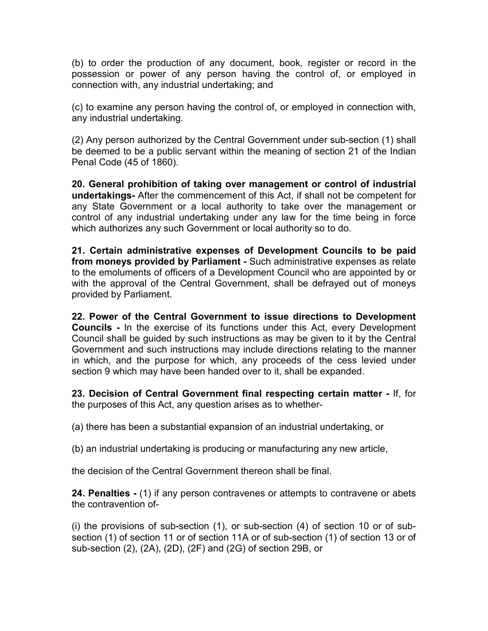(b) to order the production of any document, book, register or record in the possession or power of any person having the control of, or employed in connection with, any industrial undertaking; and

(c) to examine any person having the control of, or employed in connection with, any industrial undertaking.

(2) Any person authorized by the Central Government under sub-section (1) shall be deemed to be a public servant within the meaning of section 21 of the Indian Penal Code (45 of 1860).

20. General prohibition of taking over management or control of industrial undertakings- After the commencement of this Act, if shall not be competent for any State Government or a local authority to take over the management or control of any industrial undertaking under any law for the time being in force which authorizes any such Government or local authority so to do.

21. Certain administrative expenses of Development Councils to be paid from moneys provided by Parliament - Such administrative expenses as relate to the emoluments of officers of a Development Council who are appointed by or with the approval of the Central Government, shall be defrayed out of moneys provided by Parliament.

22. Power of the Central Government to issue directions to Development Councils - In the exercise of its functions under this Act, every Development Council shall be guided by such instructions as may be given to it by the Central Government and such instructions may include directions relating to the manner in which, and the purpose for which, any proceeds of the cess levied under section 9 which may have been handed over to it, shall be expanded.

23. Decision of Central Government final respecting certain matter - If, for the purposes of this Act, any question arises as to whether-

(a) there has been a substantial expansion of an industrial undertaking, or

(b) an industrial undertaking is producing or manufacturing any new article,

the decision of the Central Government thereon shall be final.

24. Penalties - (1) if any person contravenes or attempts to contravene or abets the contravention of-

(i) the provisions of sub-section (1), or sub-section (4) of section 10 or of subsection (1) of section 11 or of section 11A or of sub-section (1) of section 13 or of sub-section (2), (2A), (2D), (2F) and (2G) of section 29B, or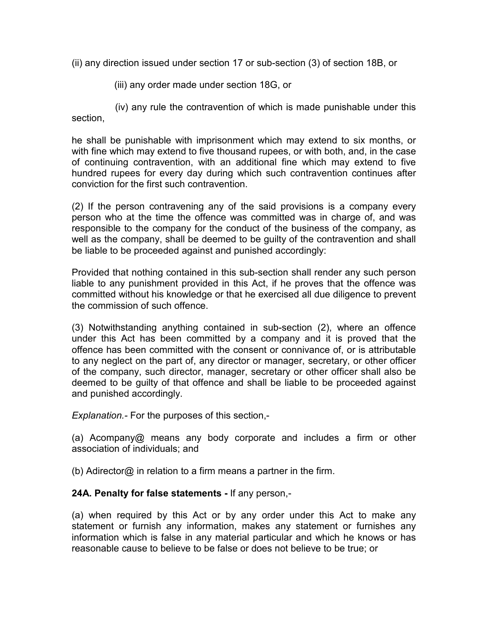(ii) any direction issued under section 17 or sub-section (3) of section 18B, or

(iii) any order made under section 18G, or

 (iv) any rule the contravention of which is made punishable under this section,

he shall be punishable with imprisonment which may extend to six months, or with fine which may extend to five thousand rupees, or with both, and, in the case of continuing contravention, with an additional fine which may extend to five hundred rupees for every day during which such contravention continues after conviction for the first such contravention.

(2) If the person contravening any of the said provisions is a company every person who at the time the offence was committed was in charge of, and was responsible to the company for the conduct of the business of the company, as well as the company, shall be deemed to be guilty of the contravention and shall be liable to be proceeded against and punished accordingly:

Provided that nothing contained in this sub-section shall render any such person liable to any punishment provided in this Act, if he proves that the offence was committed without his knowledge or that he exercised all due diligence to prevent the commission of such offence.

(3) Notwithstanding anything contained in sub-section (2), where an offence under this Act has been committed by a company and it is proved that the offence has been committed with the consent or connivance of, or is attributable to any neglect on the part of, any director or manager, secretary, or other officer of the company, such director, manager, secretary or other officer shall also be deemed to be guilty of that offence and shall be liable to be proceeded against and punished accordingly.

Explanation.- For the purposes of this section,-

(a) Acompany@ means any body corporate and includes a firm or other association of individuals; and

(b) Adirector $\omega$  in relation to a firm means a partner in the firm.

## 24A. Penalty for false statements - If any person,-

(a) when required by this Act or by any order under this Act to make any statement or furnish any information, makes any statement or furnishes any information which is false in any material particular and which he knows or has reasonable cause to believe to be false or does not believe to be true; or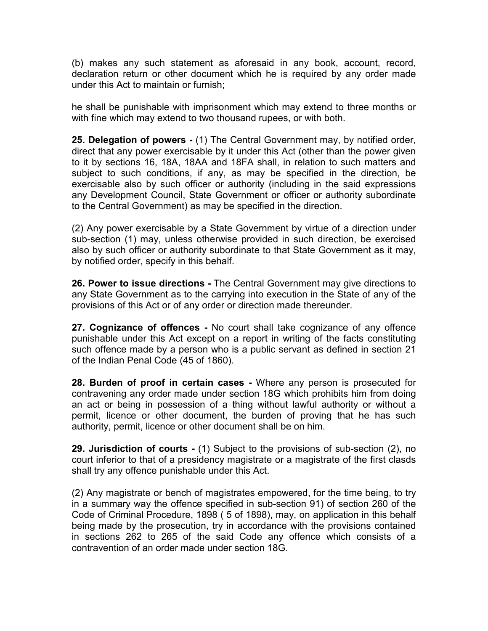(b) makes any such statement as aforesaid in any book, account, record, declaration return or other document which he is required by any order made under this Act to maintain or furnish;

he shall be punishable with imprisonment which may extend to three months or with fine which may extend to two thousand rupees, or with both.

25. Delegation of powers - (1) The Central Government may, by notified order, direct that any power exercisable by it under this Act (other than the power given to it by sections 16, 18A, 18AA and 18FA shall, in relation to such matters and subject to such conditions, if any, as may be specified in the direction, be exercisable also by such officer or authority (including in the said expressions any Development Council, State Government or officer or authority subordinate to the Central Government) as may be specified in the direction.

(2) Any power exercisable by a State Government by virtue of a direction under sub-section (1) may, unless otherwise provided in such direction, be exercised also by such officer or authority subordinate to that State Government as it may, by notified order, specify in this behalf.

26. Power to issue directions - The Central Government may give directions to any State Government as to the carrying into execution in the State of any of the provisions of this Act or of any order or direction made thereunder.

27. Cognizance of offences - No court shall take cognizance of any offence punishable under this Act except on a report in writing of the facts constituting such offence made by a person who is a public servant as defined in section 21 of the Indian Penal Code (45 of 1860).

28. Burden of proof in certain cases - Where any person is prosecuted for contravening any order made under section 18G which prohibits him from doing an act or being in possession of a thing without lawful authority or without a permit, licence or other document, the burden of proving that he has such authority, permit, licence or other document shall be on him.

29. Jurisdiction of courts - (1) Subject to the provisions of sub-section (2), no court inferior to that of a presidency magistrate or a magistrate of the first clasds shall try any offence punishable under this Act.

(2) Any magistrate or bench of magistrates empowered, for the time being, to try in a summary way the offence specified in sub-section 91) of section 260 of the Code of Criminal Procedure, 1898 ( 5 of 1898), may, on application in this behalf being made by the prosecution, try in accordance with the provisions contained in sections 262 to 265 of the said Code any offence which consists of a contravention of an order made under section 18G.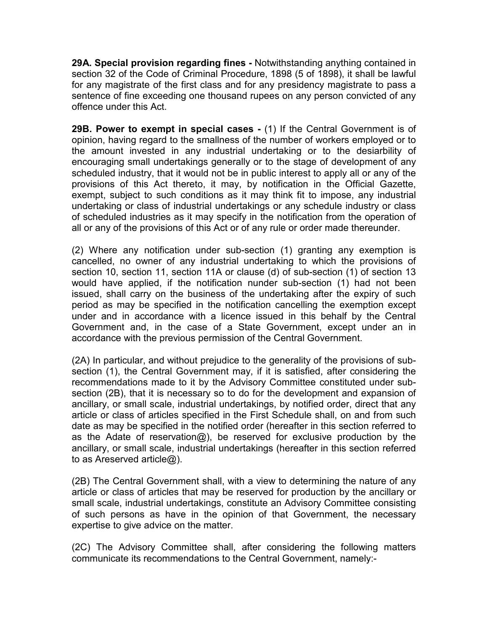29A. Special provision regarding fines - Notwithstanding anything contained in section 32 of the Code of Criminal Procedure, 1898 (5 of 1898), it shall be lawful for any magistrate of the first class and for any presidency magistrate to pass a sentence of fine exceeding one thousand rupees on any person convicted of any offence under this Act.

29B. Power to exempt in special cases - (1) If the Central Government is of opinion, having regard to the smallness of the number of workers employed or to the amount invested in any industrial undertaking or to the desiarbility of encouraging small undertakings generally or to the stage of development of any scheduled industry, that it would not be in public interest to apply all or any of the provisions of this Act thereto, it may, by notification in the Official Gazette, exempt, subject to such conditions as it may think fit to impose, any industrial undertaking or class of industrial undertakings or any schedule industry or class of scheduled industries as it may specify in the notification from the operation of all or any of the provisions of this Act or of any rule or order made thereunder.

(2) Where any notification under sub-section (1) granting any exemption is cancelled, no owner of any industrial undertaking to which the provisions of section 10, section 11, section 11A or clause (d) of sub-section (1) of section 13 would have applied, if the notification nunder sub-section (1) had not been issued, shall carry on the business of the undertaking after the expiry of such period as may be specified in the notification cancelling the exemption except under and in accordance with a licence issued in this behalf by the Central Government and, in the case of a State Government, except under an in accordance with the previous permission of the Central Government.

(2A) In particular, and without prejudice to the generality of the provisions of subsection (1), the Central Government may, if it is satisfied, after considering the recommendations made to it by the Advisory Committee constituted under subsection (2B), that it is necessary so to do for the development and expansion of ancillary, or small scale, industrial undertakings, by notified order, direct that any article or class of articles specified in the First Schedule shall, on and from such date as may be specified in the notified order (hereafter in this section referred to as the Adate of reservation@), be reserved for exclusive production by the ancillary, or small scale, industrial undertakings (hereafter in this section referred to as Areserved article@).

(2B) The Central Government shall, with a view to determining the nature of any article or class of articles that may be reserved for production by the ancillary or small scale, industrial undertakings, constitute an Advisory Committee consisting of such persons as have in the opinion of that Government, the necessary expertise to give advice on the matter.

(2C) The Advisory Committee shall, after considering the following matters communicate its recommendations to the Central Government, namely:-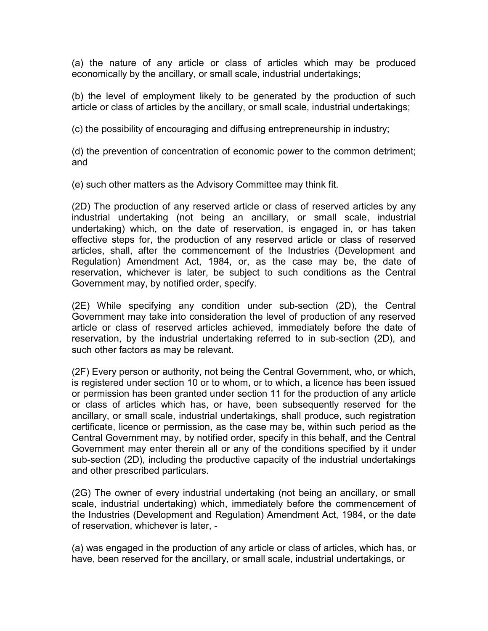(a) the nature of any article or class of articles which may be produced economically by the ancillary, or small scale, industrial undertakings;

(b) the level of employment likely to be generated by the production of such article or class of articles by the ancillary, or small scale, industrial undertakings;

(c) the possibility of encouraging and diffusing entrepreneurship in industry;

(d) the prevention of concentration of economic power to the common detriment; and

(e) such other matters as the Advisory Committee may think fit.

(2D) The production of any reserved article or class of reserved articles by any industrial undertaking (not being an ancillary, or small scale, industrial undertaking) which, on the date of reservation, is engaged in, or has taken effective steps for, the production of any reserved article or class of reserved articles, shall, after the commencement of the Industries (Development and Regulation) Amendment Act, 1984, or, as the case may be, the date of reservation, whichever is later, be subject to such conditions as the Central Government may, by notified order, specify.

(2E) While specifying any condition under sub-section (2D), the Central Government may take into consideration the level of production of any reserved article or class of reserved articles achieved, immediately before the date of reservation, by the industrial undertaking referred to in sub-section (2D), and such other factors as may be relevant.

(2F) Every person or authority, not being the Central Government, who, or which, is registered under section 10 or to whom, or to which, a licence has been issued or permission has been granted under section 11 for the production of any article or class of articles which has, or have, been subsequently reserved for the ancillary, or small scale, industrial undertakings, shall produce, such registration certificate, licence or permission, as the case may be, within such period as the Central Government may, by notified order, specify in this behalf, and the Central Government may enter therein all or any of the conditions specified by it under sub-section (2D), including the productive capacity of the industrial undertakings and other prescribed particulars.

(2G) The owner of every industrial undertaking (not being an ancillary, or small scale, industrial undertaking) which, immediately before the commencement of the Industries (Development and Regulation) Amendment Act, 1984, or the date of reservation, whichever is later, -

(a) was engaged in the production of any article or class of articles, which has, or have, been reserved for the ancillary, or small scale, industrial undertakings, or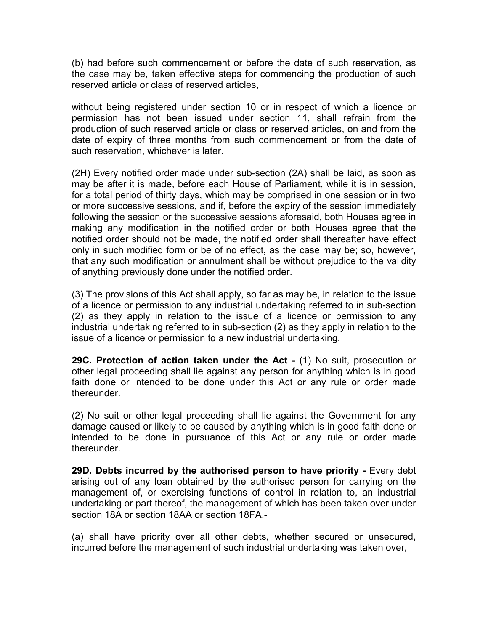(b) had before such commencement or before the date of such reservation, as the case may be, taken effective steps for commencing the production of such reserved article or class of reserved articles,

without being registered under section 10 or in respect of which a licence or permission has not been issued under section 11, shall refrain from the production of such reserved article or class or reserved articles, on and from the date of expiry of three months from such commencement or from the date of such reservation, whichever is later.

(2H) Every notified order made under sub-section (2A) shall be laid, as soon as may be after it is made, before each House of Parliament, while it is in session, for a total period of thirty days, which may be comprised in one session or in two or more successive sessions, and if, before the expiry of the session immediately following the session or the successive sessions aforesaid, both Houses agree in making any modification in the notified order or both Houses agree that the notified order should not be made, the notified order shall thereafter have effect only in such modified form or be of no effect, as the case may be; so, however, that any such modification or annulment shall be without prejudice to the validity of anything previously done under the notified order.

(3) The provisions of this Act shall apply, so far as may be, in relation to the issue of a licence or permission to any industrial undertaking referred to in sub-section (2) as they apply in relation to the issue of a licence or permission to any industrial undertaking referred to in sub-section (2) as they apply in relation to the issue of a licence or permission to a new industrial undertaking.

29C. Protection of action taken under the Act - (1) No suit, prosecution or other legal proceeding shall lie against any person for anything which is in good faith done or intended to be done under this Act or any rule or order made thereunder.

(2) No suit or other legal proceeding shall lie against the Government for any damage caused or likely to be caused by anything which is in good faith done or intended to be done in pursuance of this Act or any rule or order made thereunder.

29D. Debts incurred by the authorised person to have priority - Every debt arising out of any loan obtained by the authorised person for carrying on the management of, or exercising functions of control in relation to, an industrial undertaking or part thereof, the management of which has been taken over under section 18A or section 18AA or section 18FA,-

(a) shall have priority over all other debts, whether secured or unsecured, incurred before the management of such industrial undertaking was taken over,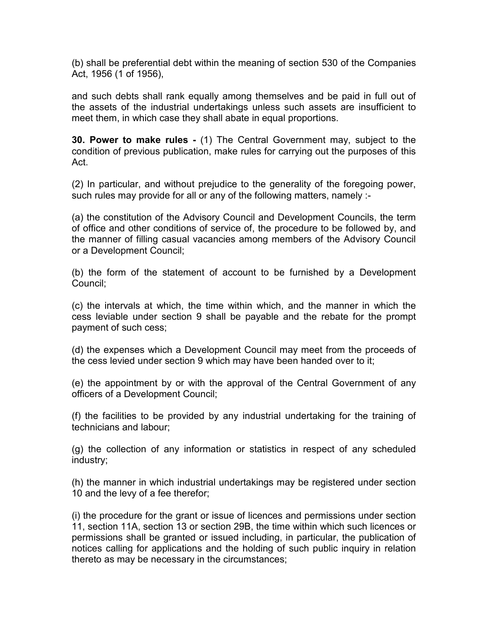(b) shall be preferential debt within the meaning of section 530 of the Companies Act, 1956 (1 of 1956),

and such debts shall rank equally among themselves and be paid in full out of the assets of the industrial undertakings unless such assets are insufficient to meet them, in which case they shall abate in equal proportions.

30. Power to make rules - (1) The Central Government may, subject to the condition of previous publication, make rules for carrying out the purposes of this Act.

(2) In particular, and without prejudice to the generality of the foregoing power, such rules may provide for all or any of the following matters, namely :-

(a) the constitution of the Advisory Council and Development Councils, the term of office and other conditions of service of, the procedure to be followed by, and the manner of filling casual vacancies among members of the Advisory Council or a Development Council;

(b) the form of the statement of account to be furnished by a Development Council;

(c) the intervals at which, the time within which, and the manner in which the cess leviable under section 9 shall be payable and the rebate for the prompt payment of such cess;

(d) the expenses which a Development Council may meet from the proceeds of the cess levied under section 9 which may have been handed over to it;

(e) the appointment by or with the approval of the Central Government of any officers of a Development Council;

(f) the facilities to be provided by any industrial undertaking for the training of technicians and labour;

(g) the collection of any information or statistics in respect of any scheduled industry;

(h) the manner in which industrial undertakings may be registered under section 10 and the levy of a fee therefor;

(i) the procedure for the grant or issue of licences and permissions under section 11, section 11A, section 13 or section 29B, the time within which such licences or permissions shall be granted or issued including, in particular, the publication of notices calling for applications and the holding of such public inquiry in relation thereto as may be necessary in the circumstances;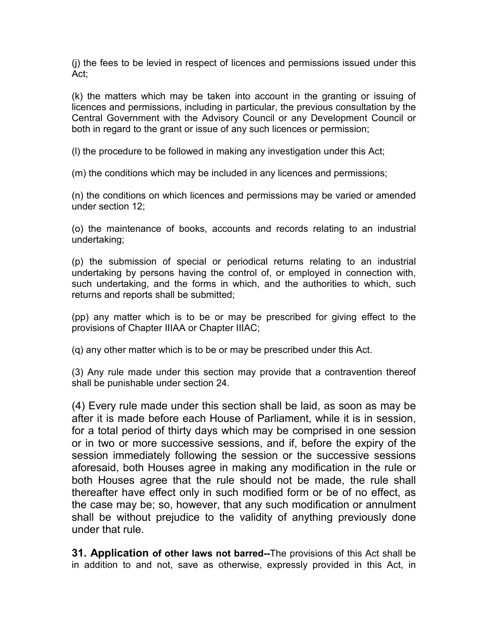(j) the fees to be levied in respect of licences and permissions issued under this Act;

(k) the matters which may be taken into account in the granting or issuing of licences and permissions, including in particular, the previous consultation by the Central Government with the Advisory Council or any Development Council or both in regard to the grant or issue of any such licences or permission;

(l) the procedure to be followed in making any investigation under this Act;

(m) the conditions which may be included in any licences and permissions;

(n) the conditions on which licences and permissions may be varied or amended under section 12;

(o) the maintenance of books, accounts and records relating to an industrial undertaking;

(p) the submission of special or periodical returns relating to an industrial undertaking by persons having the control of, or employed in connection with, such undertaking, and the forms in which, and the authorities to which, such returns and reports shall be submitted;

(pp) any matter which is to be or may be prescribed for giving effect to the provisions of Chapter IIIAA or Chapter IIIAC;

(q) any other matter which is to be or may be prescribed under this Act.

(3) Any rule made under this section may provide that a contravention thereof shall be punishable under section 24.

(4) Every rule made under this section shall be laid, as soon as may be after it is made before each House of Parliament, while it is in session, for a total period of thirty days which may be comprised in one session or in two or more successive sessions, and if, before the expiry of the session immediately following the session or the successive sessions aforesaid, both Houses agree in making any modification in the rule or both Houses agree that the rule should not be made, the rule shall thereafter have effect only in such modified form or be of no effect, as the case may be; so, however, that any such modification or annulment shall be without prejudice to the validity of anything previously done under that rule.

**31. Application of other laws not barred--The provisions of this Act shall be** in addition to and not, save as otherwise, expressly provided in this Act, in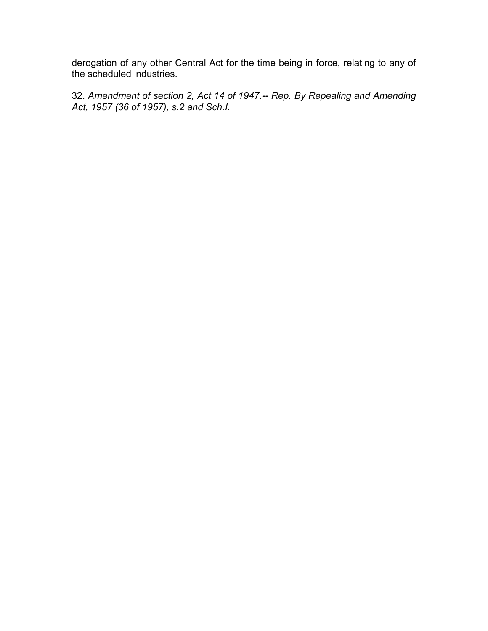derogation of any other Central Act for the time being in force, relating to any of the scheduled industries.

32. Amendment of section 2, Act 14 of 1947.-- Rep. By Repealing and Amending Act, 1957 (36 of 1957), s.2 and Sch.I.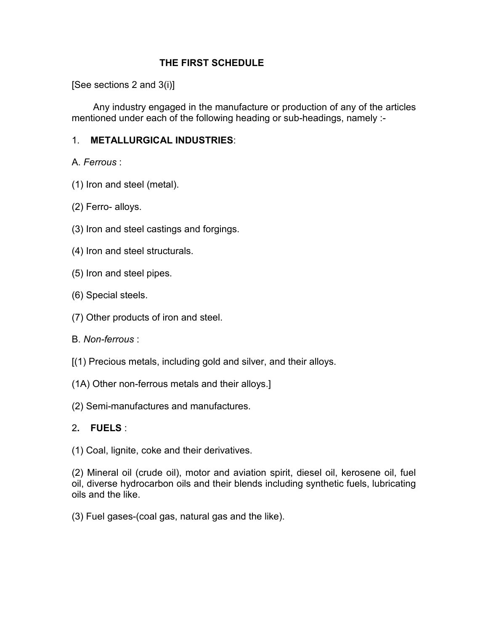### THE FIRST SCHEDULE

[See sections 2 and 3(i)]

 Any industry engaged in the manufacture or production of any of the articles mentioned under each of the following heading or sub-headings, namely :-

## 1. METALLURGICAL INDUSTRIES:

A. Ferrous :

- (1) Iron and steel (metal).
- (2) Ferro- alloys.
- (3) Iron and steel castings and forgings.
- (4) Iron and steel structurals.
- (5) Iron and steel pipes.
- (6) Special steels.
- (7) Other products of iron and steel.
- B. Non-ferrous :
- [(1) Precious metals, including gold and silver, and their alloys.
- (1A) Other non-ferrous metals and their alloys.]
- (2) Semi-manufactures and manufactures.

## 2. FUELS :

(1) Coal, lignite, coke and their derivatives.

(2) Mineral oil (crude oil), motor and aviation spirit, diesel oil, kerosene oil, fuel oil, diverse hydrocarbon oils and their blends including synthetic fuels, lubricating oils and the like.

(3) Fuel gases-(coal gas, natural gas and the like).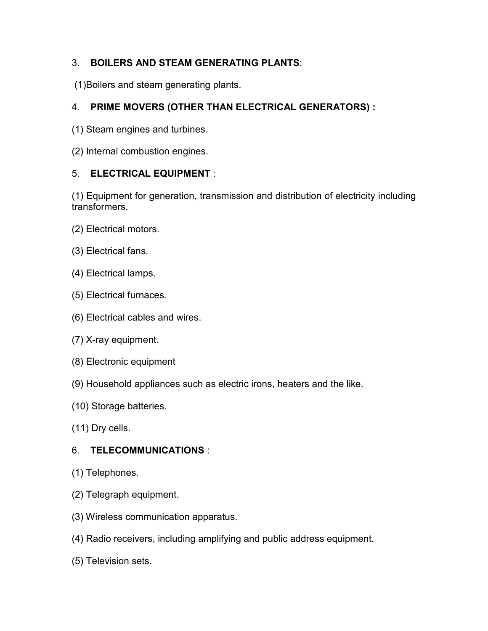## 3. BOILERS AND STEAM GENERATING PLANTS:

(1)Boilers and steam generating plants.

## 4. PRIME MOVERS (OTHER THAN ELECTRICAL GENERATORS) :

- (1) Steam engines and turbines.
- (2) Internal combustion engines.

### 5. ELECTRICAL EQUIPMENT :

(1) Equipment for generation, transmission and distribution of electricity including **transformers** 

- (2) Electrical motors.
- (3) Electrical fans.
- (4) Electrical lamps.
- (5) Electrical furnaces.
- (6) Electrical cables and wires.
- (7) X-ray equipment.
- (8) Electronic equipment
- (9) Household appliances such as electric irons, heaters and the like.
- (10) Storage batteries.
- (11) Dry cells.

## 6. TELECOMMUNICATIONS :

- (1) Telephones.
- (2) Telegraph equipment.
- (3) Wireless communication apparatus.
- (4) Radio receivers, including amplifying and public address equipment.
- (5) Television sets.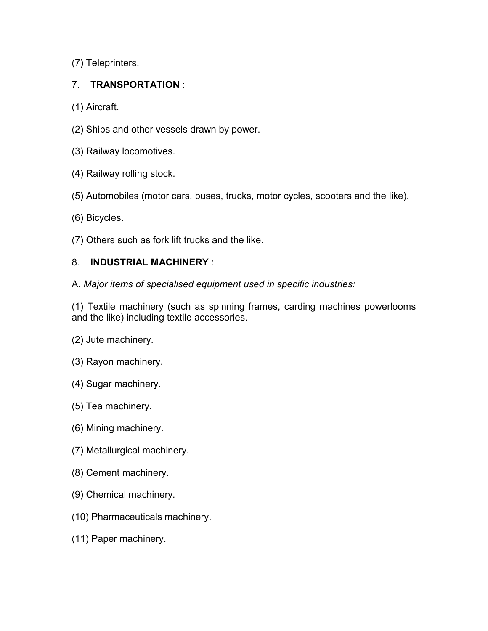(7) Teleprinters.

## 7. TRANSPORTATION :

(1) Aircraft.

- (2) Ships and other vessels drawn by power.
- (3) Railway locomotives.
- (4) Railway rolling stock.
- (5) Automobiles (motor cars, buses, trucks, motor cycles, scooters and the like).
- (6) Bicycles.
- (7) Others such as fork lift trucks and the like.

## 8. INDUSTRIAL MACHINERY :

A. Major items of specialised equipment used in specific industries:

(1) Textile machinery (such as spinning frames, carding machines powerlooms and the like) including textile accessories.

- (2) Jute machinery.
- (3) Rayon machinery.
- (4) Sugar machinery.
- (5) Tea machinery.
- (6) Mining machinery.
- (7) Metallurgical machinery.
- (8) Cement machinery.
- (9) Chemical machinery.
- (10) Pharmaceuticals machinery.
- (11) Paper machinery.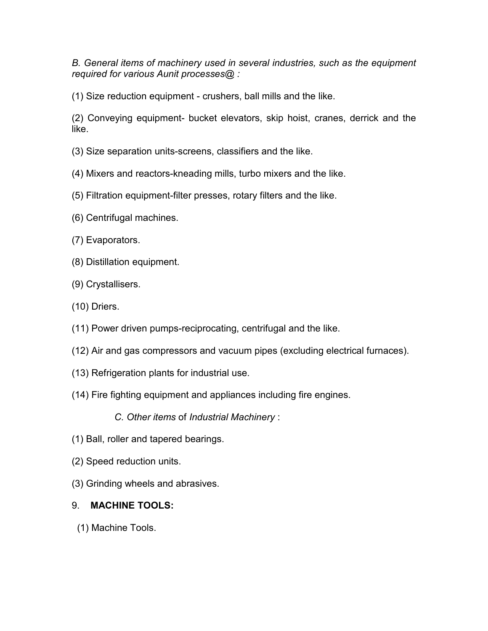B. General items of machinery used in several industries, such as the equipment required for various Aunit processes@ :

(1) Size reduction equipment - crushers, ball mills and the like.

(2) Conveying equipment- bucket elevators, skip hoist, cranes, derrick and the like.

- (3) Size separation units-screens, classifiers and the like.
- (4) Mixers and reactors-kneading mills, turbo mixers and the like.
- (5) Filtration equipment-filter presses, rotary filters and the like.
- (6) Centrifugal machines.
- (7) Evaporators.
- (8) Distillation equipment.
- (9) Crystallisers.
- (10) Driers.
- (11) Power driven pumps-reciprocating, centrifugal and the like.
- (12) Air and gas compressors and vacuum pipes (excluding electrical furnaces).
- (13) Refrigeration plants for industrial use.
- (14) Fire fighting equipment and appliances including fire engines.

C. Other items of Industrial Machinery :

- (1) Ball, roller and tapered bearings.
- (2) Speed reduction units.
- (3) Grinding wheels and abrasives.

## 9. MACHINE TOOLS:

(1) Machine Tools.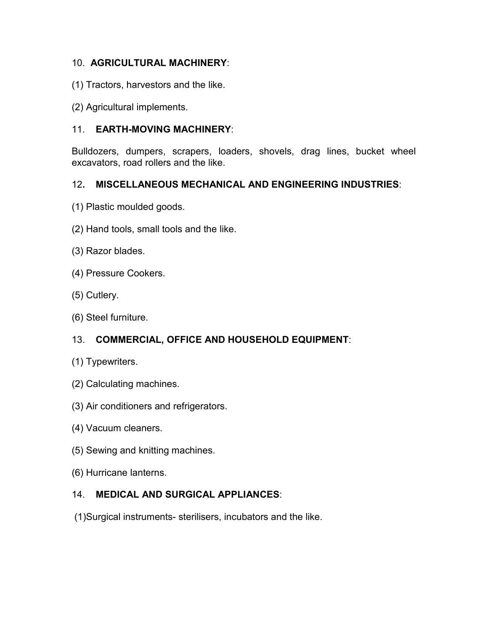## 10. AGRICULTURAL MACHINERY:

- (1) Tractors, harvestors and the like.
- (2) Agricultural implements.

### 11. EARTH-MOVING MACHINERY:

Bulldozers, dumpers, scrapers, loaders, shovels, drag lines, bucket wheel excavators, road rollers and the like.

#### 12. MISCELLANEOUS MECHANICAL AND ENGINEERING INDUSTRIES:

- (1) Plastic moulded goods.
- (2) Hand tools, small tools and the like.
- (3) Razor blades.
- (4) Pressure Cookers.
- (5) Cutlery.
- (6) Steel furniture.

## 13. COMMERCIAL, OFFICE AND HOUSEHOLD EQUIPMENT:

- (1) Typewriters.
- (2) Calculating machines.
- (3) Air conditioners and refrigerators.
- (4) Vacuum cleaners.
- (5) Sewing and knitting machines.
- (6) Hurricane lanterns.

#### 14. MEDICAL AND SURGICAL APPLIANCES:

(1)Surgical instruments- sterilisers, incubators and the like.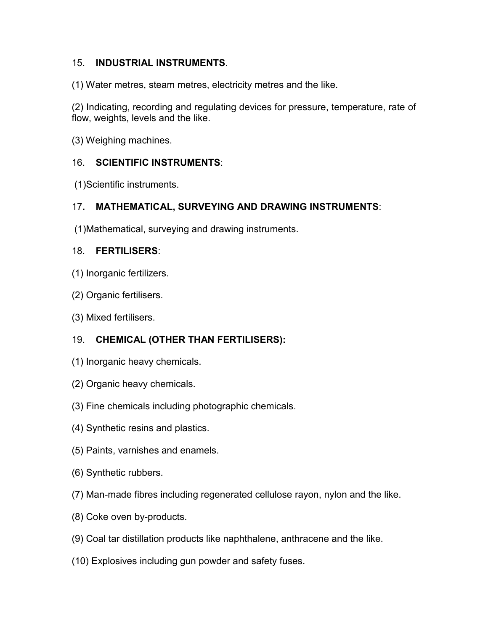### 15. INDUSTRIAL INSTRUMENTS.

(1) Water metres, steam metres, electricity metres and the like.

(2) Indicating, recording and regulating devices for pressure, temperature, rate of flow, weights, levels and the like.

(3) Weighing machines.

### 16. SCIENTIFIC INSTRUMENTS:

(1)Scientific instruments.

### 17. MATHEMATICAL, SURVEYING AND DRAWING INSTRUMENTS:

(1)Mathematical, surveying and drawing instruments.

### 18. FERTILISERS:

- (1) Inorganic fertilizers.
- (2) Organic fertilisers.
- (3) Mixed fertilisers.

## 19. CHEMICAL (OTHER THAN FERTILISERS):

- (1) Inorganic heavy chemicals.
- (2) Organic heavy chemicals.
- (3) Fine chemicals including photographic chemicals.
- (4) Synthetic resins and plastics.
- (5) Paints, varnishes and enamels.
- (6) Synthetic rubbers.
- (7) Man-made fibres including regenerated cellulose rayon, nylon and the like.
- (8) Coke oven by-products.
- (9) Coal tar distillation products like naphthalene, anthracene and the like.
- (10) Explosives including gun powder and safety fuses.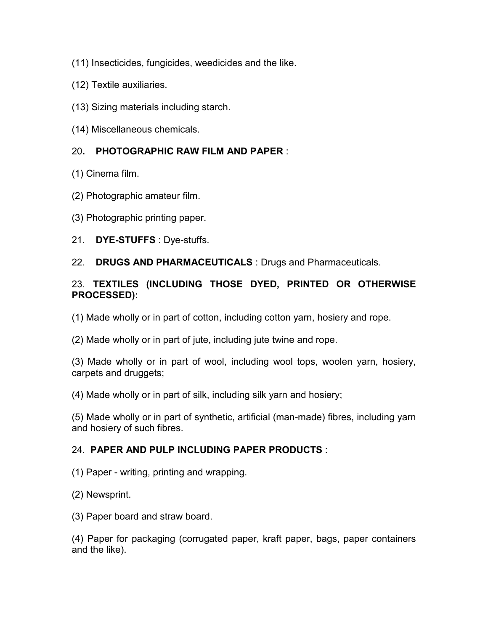- (11) Insecticides, fungicides, weedicides and the like.
- (12) Textile auxiliaries.
- (13) Sizing materials including starch.
- (14) Miscellaneous chemicals.

#### 20. PHOTOGRAPHIC RAW FILM AND PAPER :

- (1) Cinema film.
- (2) Photographic amateur film.
- (3) Photographic printing paper.
- 21. DYE-STUFFS : Dye-stuffs.
- 22. DRUGS AND PHARMACEUTICALS : Drugs and Pharmaceuticals.

### 23. TEXTILES (INCLUDING THOSE DYED, PRINTED OR OTHERWISE PROCESSED):

(1) Made wholly or in part of cotton, including cotton yarn, hosiery and rope.

(2) Made wholly or in part of jute, including jute twine and rope.

(3) Made wholly or in part of wool, including wool tops, woolen yarn, hosiery, carpets and druggets;

(4) Made wholly or in part of silk, including silk yarn and hosiery;

(5) Made wholly or in part of synthetic, artificial (man-made) fibres, including yarn and hosiery of such fibres.

#### 24. PAPER AND PULP INCLUDING PAPER PRODUCTS :

(1) Paper - writing, printing and wrapping.

(2) Newsprint.

(3) Paper board and straw board.

(4) Paper for packaging (corrugated paper, kraft paper, bags, paper containers and the like).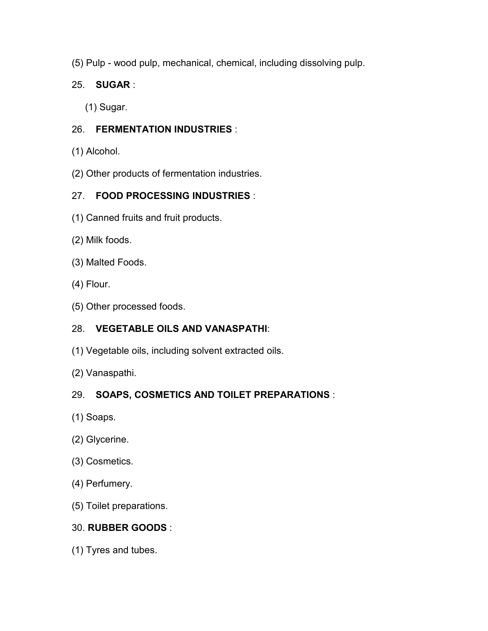(5) Pulp - wood pulp, mechanical, chemical, including dissolving pulp.

## 25. SUGAR :

(1) Sugar.

## 26. FERMENTATION INDUSTRIES :

- (1) Alcohol.
- (2) Other products of fermentation industries.

## 27. FOOD PROCESSING INDUSTRIES :

- (1) Canned fruits and fruit products.
- (2) Milk foods.
- (3) Malted Foods.
- (4) Flour.
- (5) Other processed foods.

## 28. VEGETABLE OILS AND VANASPATHI:

- (1) Vegetable oils, including solvent extracted oils.
- (2) Vanaspathi.

## 29. SOAPS, COSMETICS AND TOILET PREPARATIONS :

- (1) Soaps.
- (2) Glycerine.
- (3) Cosmetics.
- (4) Perfumery.
- (5) Toilet preparations.

## 30. RUBBER GOODS :

(1) Tyres and tubes.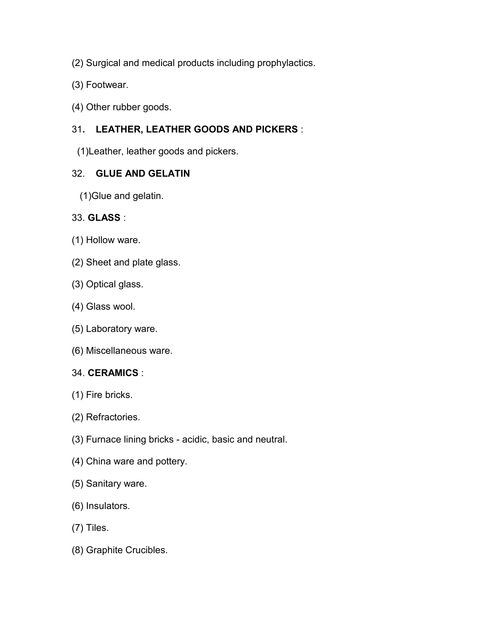- (2) Surgical and medical products including prophylactics.
- (3) Footwear.
- (4) Other rubber goods.

## 31. LEATHER, LEATHER GOODS AND PICKERS :

(1)Leather, leather goods and pickers.

### 32. GLUE AND GELATIN

(1)Glue and gelatin.

### 33. GLASS :

- (1) Hollow ware.
- (2) Sheet and plate glass.
- (3) Optical glass.
- (4) Glass wool.
- (5) Laboratory ware.
- (6) Miscellaneous ware.

#### 34. CERAMICS :

- (1) Fire bricks.
- (2) Refractories.
- (3) Furnace lining bricks acidic, basic and neutral.
- (4) China ware and pottery.
- (5) Sanitary ware.
- (6) Insulators.
- (7) Tiles.
- (8) Graphite Crucibles.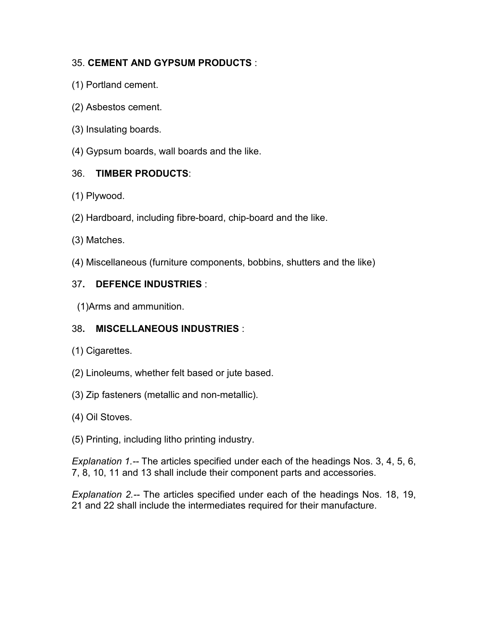## 35. CEMENT AND GYPSUM PRODUCTS :

- (1) Portland cement.
- (2) Asbestos cement.
- (3) Insulating boards.
- (4) Gypsum boards, wall boards and the like.

## 36. TIMBER PRODUCTS:

- (1) Plywood.
- (2) Hardboard, including fibre-board, chip-board and the like.
- (3) Matches.
- (4) Miscellaneous (furniture components, bobbins, shutters and the like)

## 37. DEFENCE INDUSTRIES :

(1)Arms and ammunition.

## 38. MISCELLANEOUS INDUSTRIES :

- (1) Cigarettes.
- (2) Linoleums, whether felt based or jute based.
- (3) Zip fasteners (metallic and non-metallic).
- (4) Oil Stoves.
- (5) Printing, including litho printing industry.

Explanation 1.-- The articles specified under each of the headings Nos. 3, 4, 5, 6, 7, 8, 10, 11 and 13 shall include their component parts and accessories.

Explanation 2.-- The articles specified under each of the headings Nos. 18, 19, 21 and 22 shall include the intermediates required for their manufacture.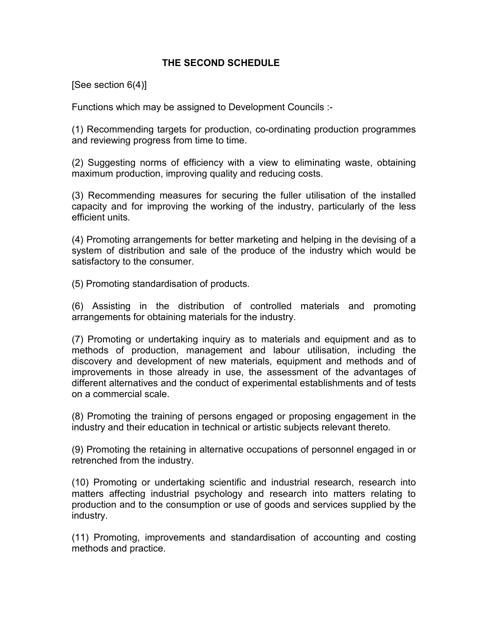#### THE SECOND SCHEDULE

[See section 6(4)]

Functions which may be assigned to Development Councils :-

(1) Recommending targets for production, co-ordinating production programmes and reviewing progress from time to time.

(2) Suggesting norms of efficiency with a view to eliminating waste, obtaining maximum production, improving quality and reducing costs.

(3) Recommending measures for securing the fuller utilisation of the installed capacity and for improving the working of the industry, particularly of the less efficient units.

(4) Promoting arrangements for better marketing and helping in the devising of a system of distribution and sale of the produce of the industry which would be satisfactory to the consumer.

(5) Promoting standardisation of products.

(6) Assisting in the distribution of controlled materials and promoting arrangements for obtaining materials for the industry.

(7) Promoting or undertaking inquiry as to materials and equipment and as to methods of production, management and labour utilisation, including the discovery and development of new materials, equipment and methods and of improvements in those already in use, the assessment of the advantages of different alternatives and the conduct of experimental establishments and of tests on a commercial scale.

(8) Promoting the training of persons engaged or proposing engagement in the industry and their education in technical or artistic subjects relevant thereto.

(9) Promoting the retaining in alternative occupations of personnel engaged in or retrenched from the industry.

(10) Promoting or undertaking scientific and industrial research, research into matters affecting industrial psychology and research into matters relating to production and to the consumption or use of goods and services supplied by the industry.

(11) Promoting, improvements and standardisation of accounting and costing methods and practice.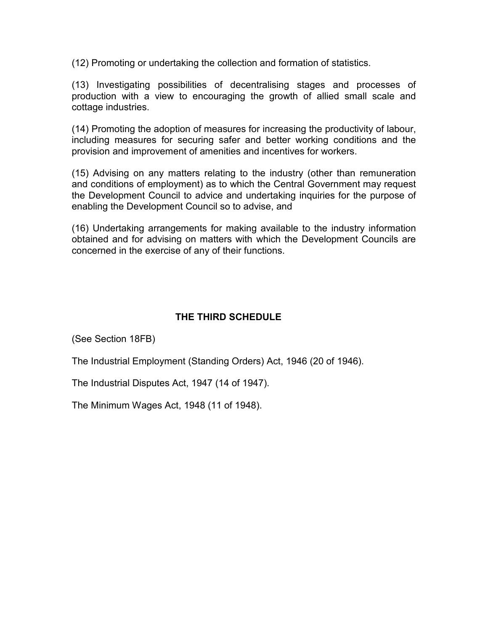(12) Promoting or undertaking the collection and formation of statistics.

(13) Investigating possibilities of decentralising stages and processes of production with a view to encouraging the growth of allied small scale and cottage industries.

(14) Promoting the adoption of measures for increasing the productivity of labour, including measures for securing safer and better working conditions and the provision and improvement of amenities and incentives for workers.

(15) Advising on any matters relating to the industry (other than remuneration and conditions of employment) as to which the Central Government may request the Development Council to advice and undertaking inquiries for the purpose of enabling the Development Council so to advise, and

(16) Undertaking arrangements for making available to the industry information obtained and for advising on matters with which the Development Councils are concerned in the exercise of any of their functions.

## THE THIRD SCHEDULE

(See Section 18FB)

The Industrial Employment (Standing Orders) Act, 1946 (20 of 1946).

The Industrial Disputes Act, 1947 (14 of 1947).

The Minimum Wages Act, 1948 (11 of 1948).